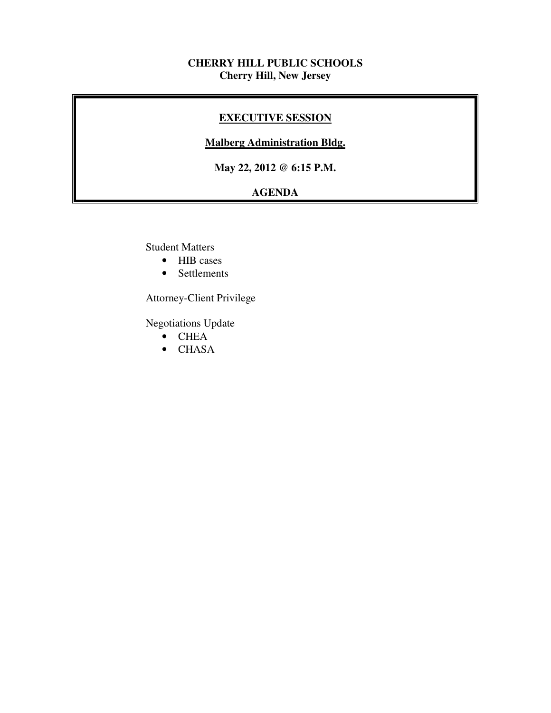### **CHERRY HILL PUBLIC SCHOOLS Cherry Hill, New Jersey**

### **EXECUTIVE SESSION**

#### **Malberg Administration Bldg.**

 **May 22, 2012 @ 6:15 P.M.** 

## **AGENDA**

Student Matters

- HIB cases
- Settlements

Attorney-Client Privilege

Negotiations Update

- CHEA
- CHASA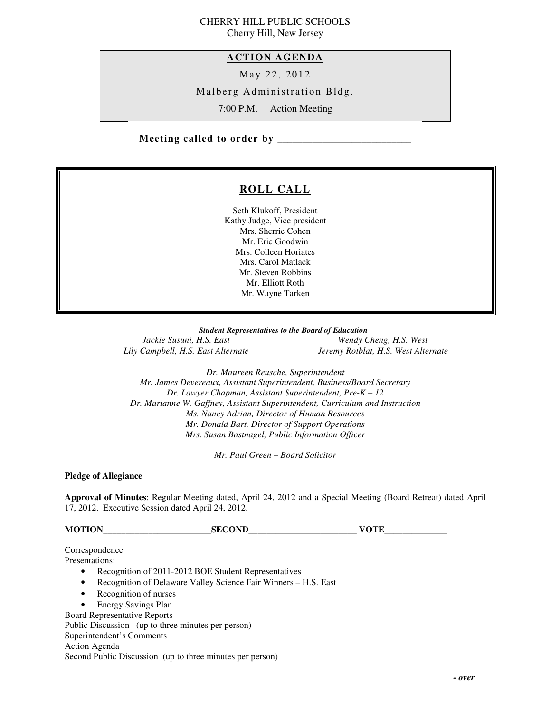# CHERRY HILL PUBLIC SCHOOLS

Cherry Hill, New Jersey

#### **ACTION AGENDA**

May 22, 2012

Malberg Administration Bldg.

7:00 P.M. Action Meeting

 **Meeting called to order by \_\_\_\_\_\_\_\_\_\_\_\_\_\_\_\_\_\_\_\_\_\_\_\_\_\_\_** 

## **ROLL CALL**

 Seth Klukoff, President Kathy Judge, Vice president Mrs. Sherrie Cohen Mr. Eric Goodwin Mrs. Colleen Horiates Mrs. Carol Matlack Mr. Steven Robbins Mr. Elliott Roth Mr. Wayne Tarken

 *Student Representatives to the Board of Education*  Jackie Susuni, H.S. East Lily Campbell, H.S. East Alternate

*Wendy Cheng, H.S. West Lily Campbell, H.S. East Alternate Jeremy Rotblat, H.S. West Alternate* 

 *Dr. Maureen Reusche, Superintendent Mr. James Devereaux, Assistant Superintendent, Business/Board Secretary Dr. Lawyer Chapman, Assistant Superintendent, Pre-K – 12 Dr. Marianne W. Gaffney, Assistant Superintendent, Curriculum and Instruction Ms. Nancy Adrian, Director of Human Resources Mr. Donald Bart, Director of Support Operations Mrs. Susan Bastnagel, Public Information Officer* 

 *Mr. Paul Green – Board Solicitor* 

 **Pledge of Allegiance** 

 **Approval of Minutes**: Regular Meeting dated, April 24, 2012 and a Special Meeting (Board Retreat) dated April 17, 2012. Executive Session dated April 24, 2012.

**MOTION\_\_\_\_\_\_\_\_\_\_\_\_\_\_\_\_\_\_\_\_\_\_\_\_SECOND\_\_\_\_\_\_\_\_\_\_\_\_\_\_\_\_\_\_\_\_\_\_\_\_ VOTE\_\_\_\_\_\_\_\_\_\_\_\_\_\_** 

Correspondence

Presentations:

- Presentations:<br>• Recognition of 2011-2012 BOE Student Representatives
	- Recognition of Delaware Valley Science Fair Winners H.S. East
	- Recognition of nurses
	- Energy Savings Plan

Board Representative Reports

Public Discussion (up to three minutes per person)

Superintendent's Comments

Action Agenda

Second Public Discussion (up to three minutes per person)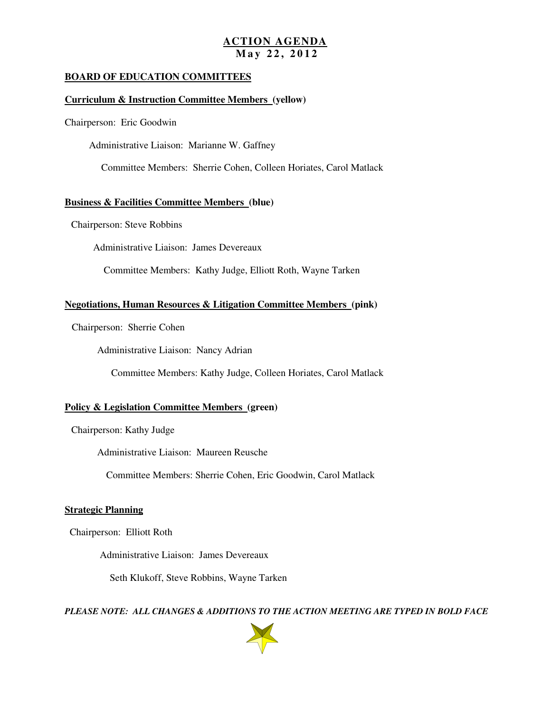#### **ACTION AGENDA M a y 2 2 , 2 0 1 2**

#### **BOARD OF EDUCATION COMMITTEES**

#### **Curriculum & Instruction Committee Members (yellow)**

Chairperson: Eric Goodwin

Administrative Liaison: Marianne W. Gaffney

Committee Members: Sherrie Cohen, Colleen Horiates, Carol Matlack

#### **Business & Facilities Committee Members (blue)**

Chairperson: Steve Robbins

Administrative Liaison: James Devereaux

Committee Members: Kathy Judge, Elliott Roth, Wayne Tarken

#### **Negotiations, Human Resources & Litigation Committee Members (pink)**

Chairperson: Sherrie Cohen

Administrative Liaison: Nancy Adrian

Committee Members: Kathy Judge, Colleen Horiates, Carol Matlack

#### **Policy & Legislation Committee Members (green)**

Chairperson: Kathy Judge

Administrative Liaison: Maureen Reusche

Committee Members: Sherrie Cohen, Eric Goodwin, Carol Matlack

#### **Strategic Planning**

Chairperson: Elliott Roth

Administrative Liaison: James Devereaux

Seth Klukoff, Steve Robbins, Wayne Tarken

 *PLEASE NOTE: ALL CHANGES & ADDITIONS TO THE ACTION MEETING ARE TYPED IN BOLD FACE* 

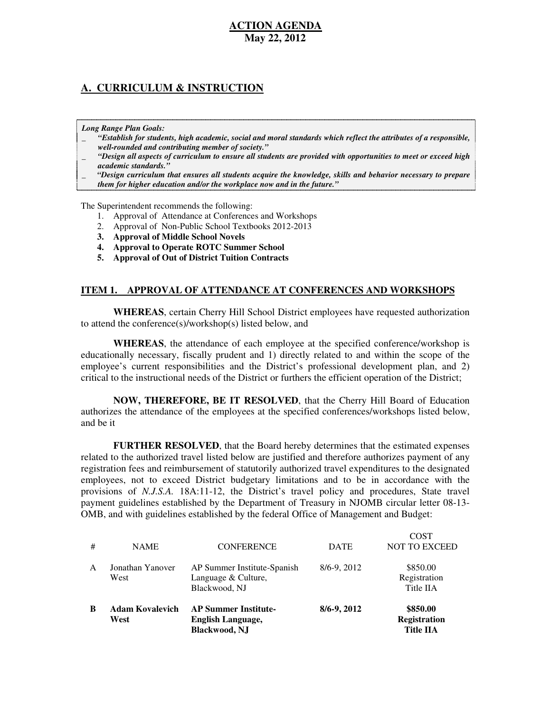#### **A. CURRICULUM & INSTRUCTION**

 *Long Range Plan Goals:* 

- \_ *"Establish for students, high academic, social and moral standards which reflect the attributes of a responsible, well-rounded and contributing member of society."*
- \_ *"Design all aspects of curriculum to ensure all students are provided with opportunities to meet or exceed high academic standards."*
- \_ *"Design curriculum that ensures all students acquire the knowledge, skills and behavior necessary to prepare them for higher education and/or the workplace now and in the future."*

The Superintendent recommends the following:

- 1. Approval of Attendance at Conferences and Workshops
- 2. Approval of Non-Public School Textbooks 2012-2013
- **3. Approval of Middle School Novels**
- **4. Approval to Operate ROTC Summer School**
- **5. Approval of Out of District Tuition Contracts**

#### **ITEM 1. APPROVAL OF ATTENDANCE AT CONFERENCES AND WORKSHOPS**

 **WHEREAS**, certain Cherry Hill School District employees have requested authorization to attend the conference(s)/workshop(s) listed below, and

 **WHEREAS**, the attendance of each employee at the specified conference/workshop is educationally necessary, fiscally prudent and 1) directly related to and within the scope of the employee's current responsibilities and the District's professional development plan, and 2) critical to the instructional needs of the District or furthers the efficient operation of the District;

 **NOW, THEREFORE, BE IT RESOLVED**, that the Cherry Hill Board of Education authorizes the attendance of the employees at the specified conferences/workshops listed below, and be it

 **FURTHER RESOLVED**, that the Board hereby determines that the estimated expenses related to the authorized travel listed below are justified and therefore authorizes payment of any registration fees and reimbursement of statutorily authorized travel expenditures to the designated employees, not to exceed District budgetary limitations and to be in accordance with the provisions of *N.J.S.A.* 18A:11-12, the District's travel policy and procedures, State travel payment guidelines established by the Department of Treasury in NJOMB circular letter 08-13 OMB, and with guidelines established by the federal Office of Management and Budget:

 $C<sub>CD</sub>$ 

| B            | <b>Adam Kovalevich</b><br>West | <b>AP Summer Institute-</b><br><b>English Language,</b><br><b>Blackwood, NJ</b> | 8/6-9, 2012 | \$850.00<br><b>Registration</b><br><b>Title IIA</b> |
|--------------|--------------------------------|---------------------------------------------------------------------------------|-------------|-----------------------------------------------------|
| $\mathsf{A}$ | Jonathan Yanover<br>West       | AP Summer Institute-Spanish<br>Language & Culture,<br>Blackwood, NJ             | 8/6-9, 2012 | \$850.00<br>Registration<br>Title IIA               |
| #            | <b>NAME</b>                    | <b>CONFERENCE</b>                                                               | <b>DATE</b> | COST<br><b>NOT TO EXCEED</b>                        |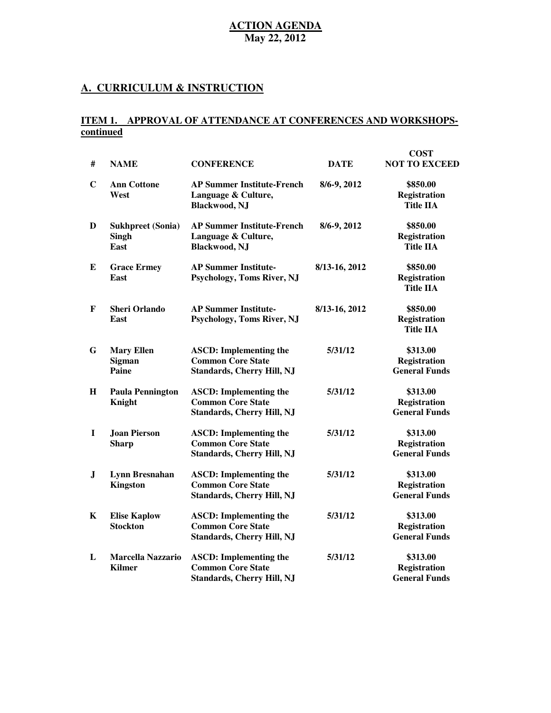#### **A. CURRICULUM & INSTRUCTION**

#### **ITEM 1. APPROVAL OF ATTENDANCE AT CONFERENCES AND WORKSHOPScontinued**

| #           | <b>NAME</b>                                      | <b>CONFERENCE</b>                                                                              | <b>DATE</b>   | <b>COST</b><br><b>NOT TO EXCEED</b>                     |
|-------------|--------------------------------------------------|------------------------------------------------------------------------------------------------|---------------|---------------------------------------------------------|
| $\mathbf C$ | <b>Ann Cottone</b><br>West                       | <b>AP Summer Institute-French</b><br>Language & Culture,<br><b>Blackwood, NJ</b>               | 8/6-9, 2012   | \$850.00<br><b>Registration</b><br><b>Title IIA</b>     |
| D           | <b>Sukhpreet (Sonia)</b><br><b>Singh</b><br>East | <b>AP Summer Institute-French</b><br>Language & Culture,<br><b>Blackwood, NJ</b>               | 8/6-9, 2012   | \$850.00<br><b>Registration</b><br><b>Title IIA</b>     |
| E           | <b>Grace Ermey</b><br>East                       | <b>AP Summer Institute-</b><br>Psychology, Toms River, NJ                                      | 8/13-16, 2012 | \$850.00<br><b>Registration</b><br>Title IIA            |
| F           | <b>Sheri Orlando</b><br>East                     | <b>AP Summer Institute-</b><br><b>Psychology, Toms River, NJ</b>                               | 8/13-16, 2012 | \$850.00<br><b>Registration</b><br><b>Title IIA</b>     |
| G           | <b>Mary Ellen</b><br><b>Sigman</b><br>Paine      | <b>ASCD:</b> Implementing the<br><b>Common Core State</b><br><b>Standards, Cherry Hill, NJ</b> | 5/31/12       | \$313.00<br><b>Registration</b><br><b>General Funds</b> |
| $\mathbf H$ | <b>Paula Pennington</b><br>Knight                | <b>ASCD:</b> Implementing the<br><b>Common Core State</b><br><b>Standards, Cherry Hill, NJ</b> | 5/31/12       | \$313.00<br><b>Registration</b><br><b>General Funds</b> |
| I           | <b>Joan Pierson</b><br><b>Sharp</b>              | <b>ASCD:</b> Implementing the<br><b>Common Core State</b><br><b>Standards, Cherry Hill, NJ</b> | 5/31/12       | \$313.00<br><b>Registration</b><br><b>General Funds</b> |
| ${\bf J}$   | Lynn Bresnahan<br><b>Kingston</b>                | <b>ASCD:</b> Implementing the<br><b>Common Core State</b><br><b>Standards, Cherry Hill, NJ</b> | 5/31/12       | \$313.00<br><b>Registration</b><br><b>General Funds</b> |
| K           | <b>Elise Kaplow</b><br><b>Stockton</b>           | <b>ASCD: Implementing the</b><br><b>Common Core State</b><br><b>Standards, Cherry Hill, NJ</b> | 5/31/12       | \$313.00<br>Registration<br><b>General Funds</b>        |
| L           | <b>Marcella Nazzario</b><br><b>Kilmer</b>        | <b>ASCD:</b> Implementing the<br><b>Common Core State</b><br><b>Standards, Cherry Hill, NJ</b> | 5/31/12       | \$313.00<br><b>Registration</b><br><b>General Funds</b> |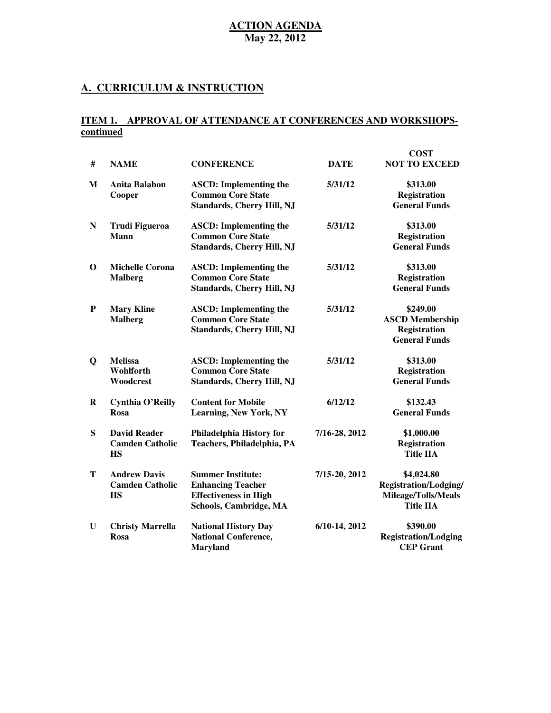#### **A. CURRICULUM & INSTRUCTION**

#### **ITEM 1. APPROVAL OF ATTENDANCE AT CONFERENCES AND WORKSHOPScontinued**

| #           | <b>NAME</b>                                                | <b>CONFERENCE</b>                                                                                              | <b>DATE</b>     | <b>COST</b><br><b>NOT TO EXCEED</b>                                                   |
|-------------|------------------------------------------------------------|----------------------------------------------------------------------------------------------------------------|-----------------|---------------------------------------------------------------------------------------|
| M           | <b>Anita Balabon</b><br>Cooper                             | <b>ASCD: Implementing the</b><br><b>Common Core State</b><br><b>Standards, Cherry Hill, NJ</b>                 | 5/31/12         | \$313.00<br><b>Registration</b><br><b>General Funds</b>                               |
| N           | <b>Trudi Figueroa</b><br>Mann                              | <b>ASCD: Implementing the</b><br><b>Common Core State</b><br><b>Standards, Cherry Hill, NJ</b>                 | 5/31/12         | \$313.00<br>Registration<br><b>General Funds</b>                                      |
| $\mathbf 0$ | <b>Michelle Corona</b><br><b>Malberg</b>                   | <b>ASCD: Implementing the</b><br><b>Common Core State</b><br><b>Standards, Cherry Hill, NJ</b>                 | 5/31/12         | \$313.00<br><b>Registration</b><br><b>General Funds</b>                               |
| P           | <b>Mary Kline</b><br><b>Malberg</b>                        | <b>ASCD: Implementing the</b><br><b>Common Core State</b><br><b>Standards, Cherry Hill, NJ</b>                 | 5/31/12         | \$249.00<br><b>ASCD Membership</b><br><b>Registration</b><br><b>General Funds</b>     |
| $\mathbf Q$ | <b>Melissa</b><br>Wohlforth<br>Woodcrest                   | <b>ASCD:</b> Implementing the<br><b>Common Core State</b><br><b>Standards, Cherry Hill, NJ</b>                 | 5/31/12         | \$313.00<br><b>Registration</b><br><b>General Funds</b>                               |
| $\bf{R}$    | <b>Cynthia O'Reilly</b><br>Rosa                            | <b>Content for Mobile</b><br><b>Learning, New York, NY</b>                                                     | 6/12/12         | \$132.43<br><b>General Funds</b>                                                      |
| S           | <b>David Reader</b><br><b>Camden Catholic</b><br><b>HS</b> | Philadelphia History for<br>Teachers, Philadelphia, PA                                                         | 7/16-28, 2012   | \$1,000.00<br>Registration<br><b>Title IIA</b>                                        |
| T           | <b>Andrew Davis</b><br><b>Camden Catholic</b><br><b>HS</b> | <b>Summer Institute:</b><br><b>Enhancing Teacher</b><br><b>Effectiveness in High</b><br>Schools, Cambridge, MA | 7/15-20, 2012   | \$4,024.80<br><b>Registration/Lodging/</b><br>Mileage/Tolls/Meals<br><b>Title IIA</b> |
| U           | <b>Christy Marrella</b><br>Rosa                            | <b>National History Day</b><br><b>National Conference,</b><br><b>Maryland</b>                                  | $6/10-14, 2012$ | \$390.00<br><b>Registration/Lodging</b><br><b>CEP Grant</b>                           |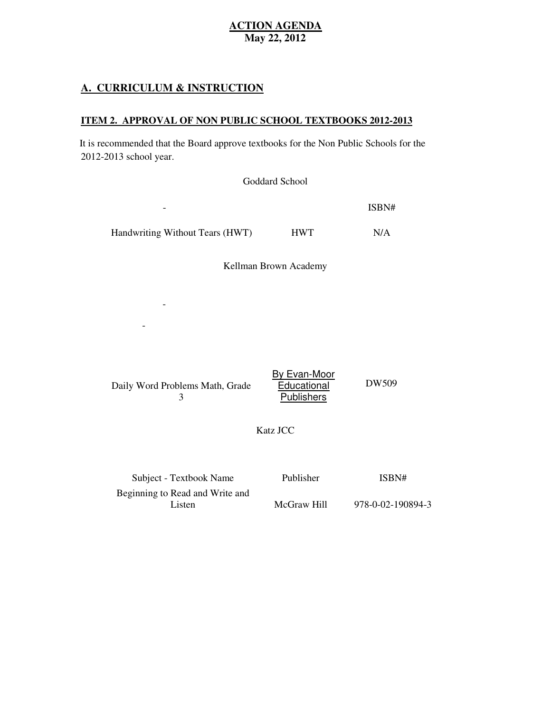### **A. CURRICULUM & INSTRUCTION**

Listen

#### **ITEM 2. APPROVAL OF NON PUBLIC SCHOOL TEXTBOOKS 2012-2013**

 2012-2013 school year. It is recommended that the Board approve textbooks for the Non Public Schools for the

|                                                            | Goddard School                                          |       |
|------------------------------------------------------------|---------------------------------------------------------|-------|
|                                                            |                                                         | ISBN# |
| Handwriting Without Tears (HWT)                            | <b>HWT</b>                                              | N/A   |
|                                                            | Kellman Brown Academy                                   |       |
|                                                            |                                                         |       |
|                                                            |                                                         |       |
| Daily Word Problems Math, Grade<br>3                       | <b>By Evan-Moor</b><br>Educational<br><b>Publishers</b> | DW509 |
|                                                            | <b>Katz JCC</b>                                         |       |
| Subject - Textbook Name<br>Beginning to Read and Write and | Publisher                                               | ISBN# |

McGraw Hill

978-0-02-190894-3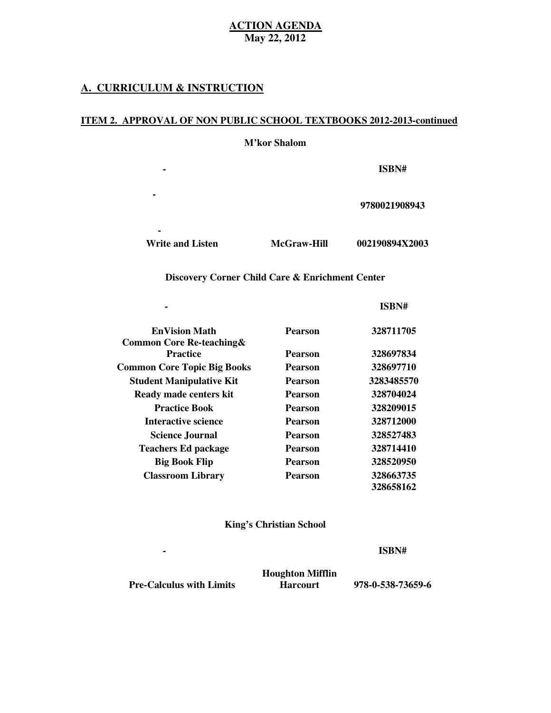#### **A. CURRICULUM & INSTRUCTION**

**-**

**-**

#### **ITEM 2. APPROVAL OF NON PUBLIC SCHOOL TEXTBOOKS 2012-2013-continued**

**Subject Textbook Name Publisher**

**Reading Beginning to Read, McMillan**

 **M'kor Shalom** 

**- ISBN#** 

**9780021908943** 

Write and Listen McGraw-Hill 002190894X2003

**Math PE Chapter Books**

#### **Discovery Corner Child Care & Enrichment Center**

|                                      |                | ISBN#      |
|--------------------------------------|----------------|------------|
| <b>EnVision Math</b>                 | Pearson        | 328711705  |
| <b>Common Core Re-teaching &amp;</b> |                |            |
| <b>Practice</b>                      | <b>Pearson</b> | 328697834  |
| <b>Common Core Topic Big Books</b>   | <b>Pearson</b> | 328697710  |
| <b>Student Manipulative Kit</b>      | <b>Pearson</b> | 3283485570 |
| Ready made centers kit               | <b>Pearson</b> | 328704024  |
| <b>Practice Book</b>                 | <b>Pearson</b> | 328209015  |
| Interactive science                  | <b>Pearson</b> | 328712000  |
| <b>Science Journal</b>               | <b>Pearson</b> | 328527483  |
| <b>Teachers Ed package</b>           | <b>Pearson</b> | 328714410  |
| <b>Big Book Flip</b>                 | <b>Pearson</b> | 328520950  |
| <b>Classroom Library</b>             | Pearson        | 328663735  |
|                                      |                | 328658162  |

#### **King's Christian School**

**- ISBN#** 

 **Pre-Calculus with Limits Harcourt 978-0-538-73659-6** 

**Subject Textbook Name Publisher**

 **Houghton Mifflin**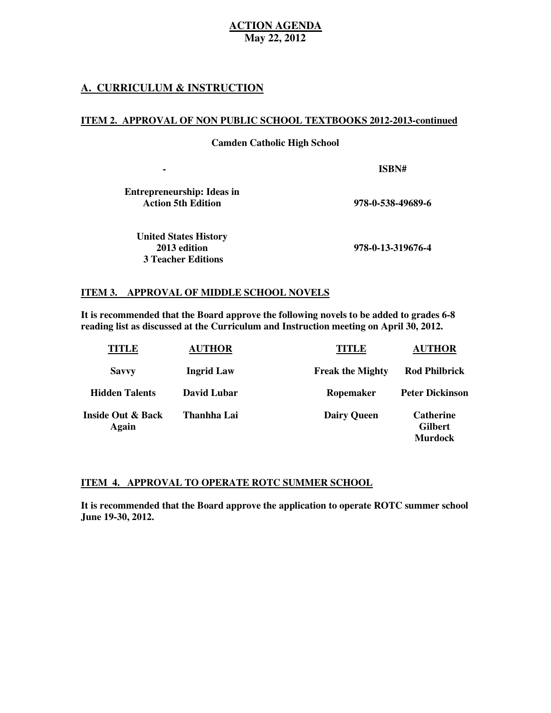#### **A. CURRICULUM & INSTRUCTION**

#### **ITEM 2. APPROVAL OF NON PUBLIC SCHOOL TEXTBOOKS 2012-2013-continued**

 **Camden Catholic High School** 

**Subject Textbook Name Publisher - ISBN#** 

 **Entrepreneurship: Ideas in Action 5th Edition** 

**Action 5th Edition 978-0-538-49689-6** 

 **United States History**  2013 edition  **3 Teacher Editions** 

**2013 edition 978-0-13-319676-4** 

#### **ITEM 3. APPROVAL OF MIDDLE SCHOOL NOVELS**

 **It is recommended that the Board approve the following novels to be added to grades 6-8 reading list as discussed at the Curriculum and Instruction meeting on April 30, 2012.** 

| TITLE                      | <b>AUTHOR</b>     | TITLE                   | <b>AUTHOR</b>                                        |
|----------------------------|-------------------|-------------------------|------------------------------------------------------|
| <b>Savvy</b>               | <b>Ingrid Law</b> | <b>Freak the Mighty</b> | <b>Rod Philbrick</b>                                 |
| <b>Hidden Talents</b>      | David Lubar       | Ropemaker               | <b>Peter Dickinson</b>                               |
| Inside Out & Back<br>Again | Thanhha Lai       | <b>Dairy Queen</b>      | <b>Catherine</b><br><b>Gilbert</b><br><b>Murdock</b> |

#### **ITEM 4. APPROVAL TO OPERATE ROTC SUMMER SCHOOL**

 **It is recommended that the Board approve the application to operate ROTC summer school June 19-30, 2012.**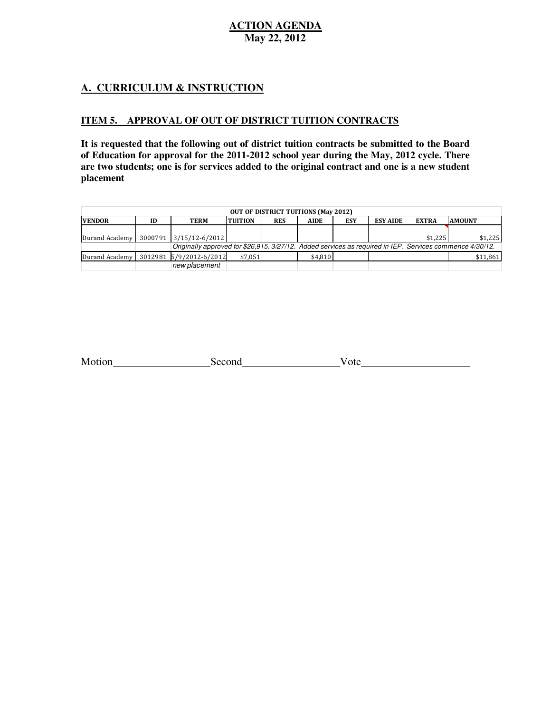### **A. CURRICULUM & INSTRUCTION**

#### **ITEM 5. APPROVAL OF OUT OF DISTRICT TUITION CONTRACTS**

 **It is requested that the following out of district tuition contracts be submitted to the Board of Education for approval for the 2011-2012 school year during the May, 2012 cycle. There are two students; one is for services added to the original contract and one is a new student placement** 

| <b>OUT OF DISTRICT TUITIONS (May 2012)</b> |    |                                                                                                          |                 |            |         |            |                 |              |               |
|--------------------------------------------|----|----------------------------------------------------------------------------------------------------------|-----------------|------------|---------|------------|-----------------|--------------|---------------|
| <b>VENDOR</b>                              | ID | TERM                                                                                                     | <b>ITUITION</b> | <b>RES</b> | AIDE    | <b>ESY</b> | <b>ESY AIDE</b> | <b>EXTRA</b> | <b>AMOUNT</b> |
|                                            |    |                                                                                                          |                 |            |         |            |                 |              |               |
|                                            |    | Durand Academy   3000791 3/15/12-6/2012                                                                  |                 |            |         |            |                 | \$1.225      | \$1.225       |
|                                            |    | Originally approved for \$26.915. 3/27/12. Added services as required in IEP. Services commence 4/30/12. |                 |            |         |            |                 |              |               |
|                                            |    | Durand Academy 3012981 5/9/2012-6/2012                                                                   | \$7.051         |            | \$4.810 |            |                 |              | \$11,861      |
|                                            |    | new placement                                                                                            |                 |            |         |            |                 |              |               |

| Motion | $\sim$ $\sim$ $\sim$ $\sim$ | 'ote |  |
|--------|-----------------------------|------|--|
|--------|-----------------------------|------|--|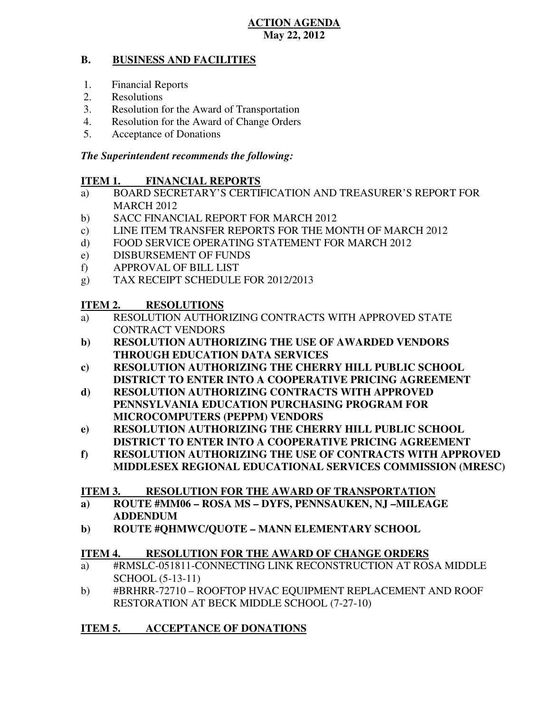#### **B. BUSINESS AND FACILITIES**

- 1. Financial Reports
- 2. Resolutions
- 3. Resolution for the Award of Transportation
- 4. Resolution for the Award of Change Orders
- 5. Acceptance of Donations

### *The Superintendent recommends the following:*

#### **ITEM 1. FINANCIAL REPORTS**

- a) BOARD SECRETARY'S CERTIFICATION AND TREASURER'S REPORT FOR MARCH 2012
- b) SACC FINANCIAL REPORT FOR MARCH 2012
- $\mathbf{c})$ LINE ITEM TRANSFER REPORTS FOR THE MONTH OF MARCH 2012
- $\mathbf{d}$ FOOD SERVICE OPERATING STATEMENT FOR MARCH 2012
- e) DISBURSEMENT OF FUNDS
- f) APPROVAL OF BILL LIST
- $g)$ TAX RECEIPT SCHEDULE FOR 2012/2013

#### **ITEM 2. RESOLUTIONS**

- a) RESOLUTION AUTHORIZING CONTRACTS WITH APPROVED STATE CONTRACT VENDORS
- **b) RESOLUTION AUTHORIZING THE USE OF AWARDED VENDORS THROUGH EDUCATION DATA SERVICES**
- **c) RESOLUTION AUTHORIZING THE CHERRY HILL PUBLIC SCHOOL DISTRICT TO ENTER INTO A COOPERATIVE PRICING AGREEMENT**
- **d) RESOLUTION AUTHORIZING CONTRACTS WITH APPROVED PENNSYLVANIA EDUCATION PURCHASING PROGRAM FOR MICROCOMPUTERS (PEPPM) VENDORS**
- **e) RESOLUTION AUTHORIZING THE CHERRY HILL PUBLIC SCHOOL DISTRICT TO ENTER INTO A COOPERATIVE PRICING AGREEMENT**
- **f) RESOLUTION AUTHORIZING THE USE OF CONTRACTS WITH APPROVED MIDDLESEX REGIONAL EDUCATIONAL SERVICES COMMISSION (MRESC)**

#### **ITEM 3. RESOLUTION FOR THE AWARD OF TRANSPORTATION**

- **a) ROUTE #MM06 ROSA MS DYFS, PENNSAUKEN, NJ –MILEAGE ADDENDUM**
- **b) ROUTE #QHMWC/QUOTE MANN ELEMENTARY SCHOOL**

#### **ITEM 4. RESOLUTION FOR THE AWARD OF CHANGE ORDERS**

- a) #RMSLC-051811-CONNECTING LINK RECONSTRUCTION AT ROSA MIDDLE SCHOOL (5-13-11)
- b) #BRHRR-72710 ROOFTOP HVAC EQUIPMENT REPLACEMENT AND ROOF RESTORATION AT BECK MIDDLE SCHOOL (7-27-10)

#### **ITEM 5. ACCEPTANCE OF DONATIONS**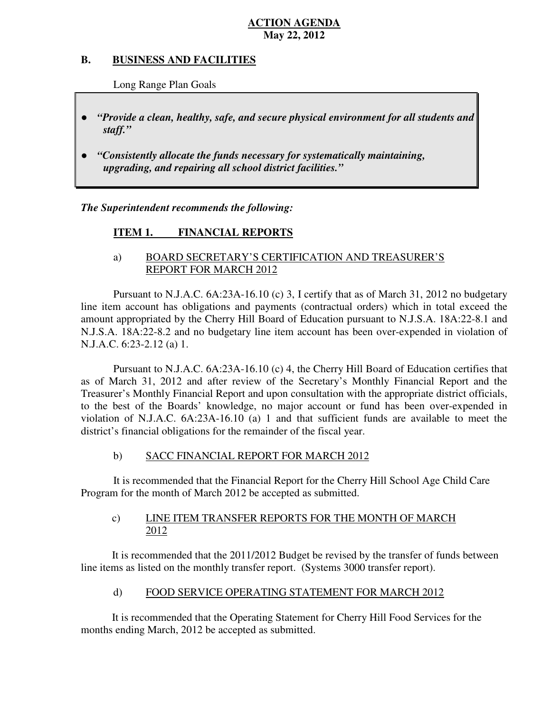#### **B. B. BUSINESS AND FACILITIES**

Long Range Plan Goals

- *"Provide a clean, healthy, safe, and secure physical environment for all students and staff."*
- *upgrading, and repairing all school district facilities."*  ● *"Consistently allocate the funds necessary for systematically maintaining,*

 *The Superintendent recommends the following:* 

#### **ITEM 1. FINANCIAL REPORTS**

### a) BOARD SECRETARY'S CERTIFICATION AND TREASURER'S REPORT FOR MARCH 2012

 Pursuant to N.J.A.C. 6A:23A-16.10 (c) 3, I certify that as of March 31, 2012 no budgetary line item account has obligations and payments (contractual orders) which in total exceed the amount appropriated by the Cherry Hill Board of Education pursuant to N.J.S.A. 18A:22-8.1 and N.J.S.A. 18A:22-8.2 and no budgetary line item account has been over-expended in violation of N.J.A.C. 6:23-2.12 (a) 1.

 Pursuant to N.J.A.C. 6A:23A-16.10 (c) 4, the Cherry Hill Board of Education certifies that as of March 31, 2012 and after review of the Secretary's Monthly Financial Report and the Treasurer's Monthly Financial Report and upon consultation with the appropriate district officials, to the best of the Boards' knowledge, no major account or fund has been over-expended in violation of N.J.A.C. 6A:23A-16.10 (a) 1 and that sufficient funds are available to meet the district's financial obligations for the remainder of the fiscal year.

#### $b)$ SACC FINANCIAL REPORT FOR MARCH 2012

 It is recommended that the Financial Report for the Cherry Hill School Age Child Care Program for the month of March 2012 be accepted as submitted.

#### $c)$ LINE ITEM TRANSFER REPORTS FOR THE MONTH OF MARCH 2012

 It is recommended that the 2011/2012 Budget be revised by the transfer of funds between line items as listed on the monthly transfer report. (Systems 3000 transfer report).

#### $\mathbf{d}$ FOOD SERVICE OPERATING STATEMENT FOR MARCH 2012

 It is recommended that the Operating Statement for Cherry Hill Food Services for the months ending March, 2012 be accepted as submitted.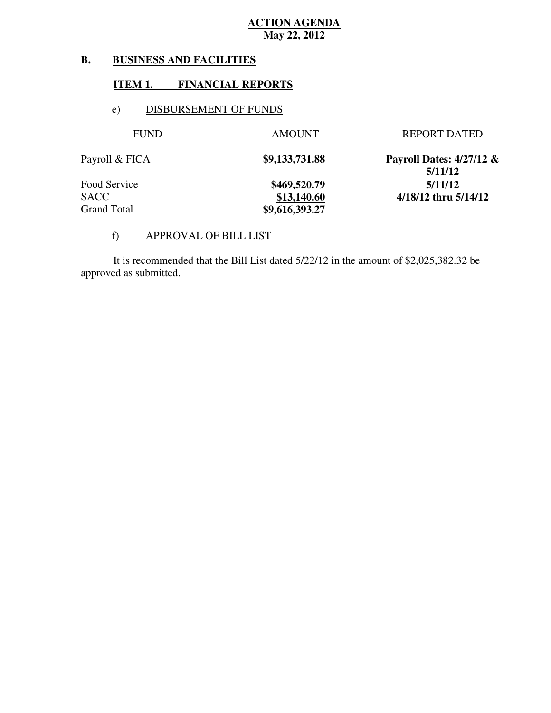#### **B. B. BUSINESS AND FACILITIES**

#### **ITEM 1. FINANCIAL REPORTS**

#### e) DISBURSEMENT OF FUNDS

| <b>FUND</b>    | <b>AMOUNT</b>  | <b>REPORT DATED</b>                    |
|----------------|----------------|----------------------------------------|
| Payroll & FICA | \$9,133,731.88 | Payroll Dates: $4/27/12 \&$<br>5/11/12 |
| Food Service   | \$469,520.79   | 5/11/12                                |
| SACC           | \$13,140.60    | 4/18/12 thru 5/14/12                   |
| Grand Total    | \$9,616,393.27 |                                        |

#### f) APPROVAL OF BILL LIST

 approved as submitted. It is recommended that the Bill List dated 5/22/12 in the amount of \$2,025,382.32 be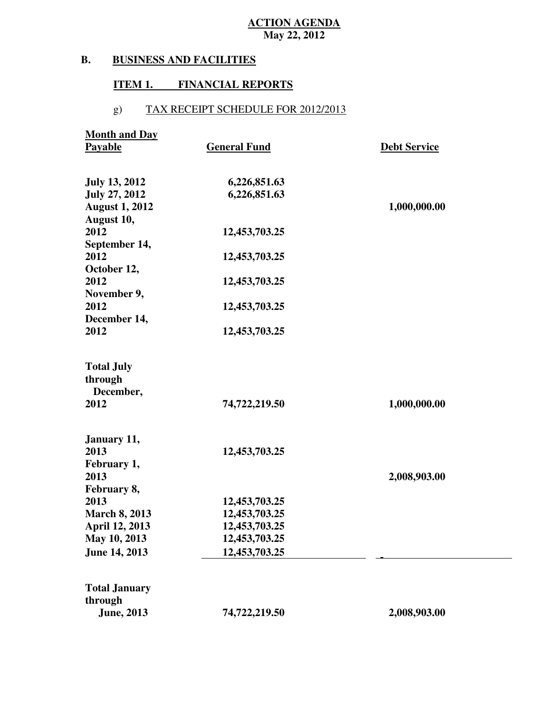#### **B. BUSINESS AND FACILITIES**

#### **ITEM 1. FINANCIAL REPORTS**

## g) TAX RECEIPT SCHEDULE FOR 2012/2013

| <b>Month and Day</b>         |                     |                     |
|------------------------------|---------------------|---------------------|
| Payable                      | <b>General Fund</b> | <b>Debt Service</b> |
|                              |                     |                     |
| <b>July 13, 2012</b>         | 6,226,851.63        |                     |
| <b>July 27, 2012</b>         | 6,226,851.63        |                     |
| <b>August 1, 2012</b>        |                     | 1,000,000.00        |
| August 10,                   |                     |                     |
| 2012                         | 12,453,703.25       |                     |
| September 14,                |                     |                     |
| 2012                         | 12,453,703.25       |                     |
| October 12,                  |                     |                     |
| 2012                         | 12,453,703.25       |                     |
| November 9,                  |                     |                     |
| 2012                         | 12,453,703.25       |                     |
| December 14,                 |                     |                     |
| 2012                         | 12,453,703.25       |                     |
|                              |                     |                     |
| <b>Total July</b><br>through |                     |                     |
| December,                    |                     |                     |
| 2012                         | 74,722,219.50       | 1,000,000.00        |
|                              |                     |                     |
| January 11,                  |                     |                     |
| 2013                         | 12,453,703.25       |                     |
| February 1,                  |                     |                     |
| 2013                         |                     | 2,008,903.00        |
| February 8,                  |                     |                     |
| 2013                         | 12,453,703.25       |                     |
| <b>March 8, 2013</b>         | 12,453,703.25       |                     |
| April 12, 2013               | 12,453,703.25       |                     |
| May 10, 2013                 | 12,453,703.25       |                     |
| <b>June 14, 2013</b>         | 12,453,703.25       |                     |
|                              |                     |                     |
| <b>Total January</b>         |                     |                     |
| through                      |                     |                     |
| <b>June</b> , 2013           | 74,722,219.50       | 2,008,903.00        |
|                              |                     |                     |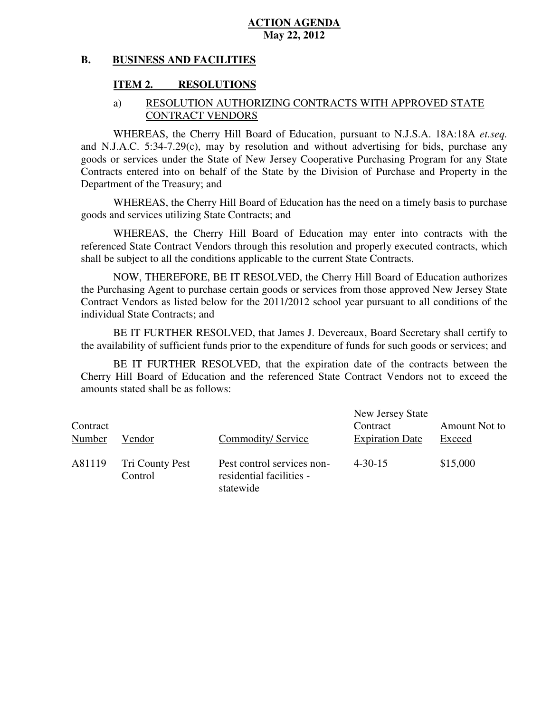#### **B. BUSINESS AND FACILITIES**

### **ITEM 2. RESOLUTIONS**

#### a) RESOLUTION AUTHORIZING CONTRACTS WITH APPROVED STATE CONTRACT VENDORS

 WHEREAS, the Cherry Hill Board of Education, pursuant to N.J.S.A. 18A:18A *et.seq.*  and N.J.A.C. 5:34-7.29(c), may by resolution and without advertising for bids, purchase any goods or services under the State of New Jersey Cooperative Purchasing Program for any State Contracts entered into on behalf of the State by the Division of Purchase and Property in the Department of the Treasury; and

 WHEREAS, the Cherry Hill Board of Education has the need on a timely basis to purchase goods and services utilizing State Contracts; and

 WHEREAS, the Cherry Hill Board of Education may enter into contracts with the referenced State Contract Vendors through this resolution and properly executed contracts, which shall be subject to all the conditions applicable to the current State Contracts.

 NOW, THEREFORE, BE IT RESOLVED, the Cherry Hill Board of Education authorizes the Purchasing Agent to purchase certain goods or services from those approved New Jersey State Contract Vendors as listed below for the 2011/2012 school year pursuant to all conditions of the individual State Contracts; and

 the availability of sufficient funds prior to the expenditure of funds for such goods or services; and BE IT FURTHER RESOLVED, that James J. Devereaux, Board Secretary shall certify to

 Cherry Hill Board of Education and the referenced State Contract Vendors not to exceed the amounts stated shall be as follows: BE IT FURTHER RESOLVED, that the expiration date of the contracts between the

| Contract<br>Number | Vendor                     | Commodity/Service                                                   | New Jersey State<br>Contract<br><b>Expiration Date</b> | Amount Not to<br>Exceed |
|--------------------|----------------------------|---------------------------------------------------------------------|--------------------------------------------------------|-------------------------|
| A81119             | Tri County Pest<br>Control | Pest control services non-<br>residential facilities -<br>statewide | $4 - 30 - 15$                                          | \$15,000                |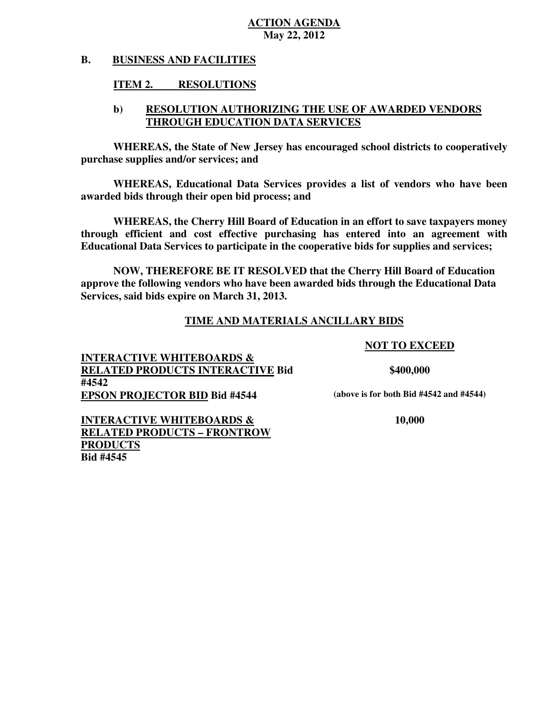#### **B. BUSINESS AND FACILITIES**

#### **ITEM 2. RESOLUTIONS**

#### **b) RESOLUTION AUTHORIZING THE USE OF AWARDED VENDORS THROUGH EDUCATION DATA SERVICES**

 **WHEREAS, the State of New Jersey has encouraged school districts to cooperatively purchase supplies and/or services; and** 

 **WHEREAS, Educational Data Services provides a list of vendors who have been awarded bids through their open bid process; and** 

 **WHEREAS, the Cherry Hill Board of Education in an effort to save taxpayers money through efficient and cost effective purchasing has entered into an agreement with Educational Data Services to participate in the cooperative bids for supplies and services;** 

 **NOW, THEREFORE BE IT RESOLVED that the Cherry Hill Board of Education approve the following vendors who have been awarded bids through the Educational Data Services, said bids expire on March 31, 2013.** 

#### **TIME AND MATERIALS ANCILLARY BIDS**

#### **NOT TO EXCEED**

 **INTERACTIVE WHITEBOARDS & RELATED PRODUCTS INTERACTIVE Bid \$400,000 EPSON PROJECTOR BID Bid #4544** (above is for both Bid #4542 and #4544) **#4542** 

 **INTERACTIVE WHITEBOARDS & 10,000 RELATED PRODUCTS – FRONTROW PRODUCTS Bid #4545 Bid #4545**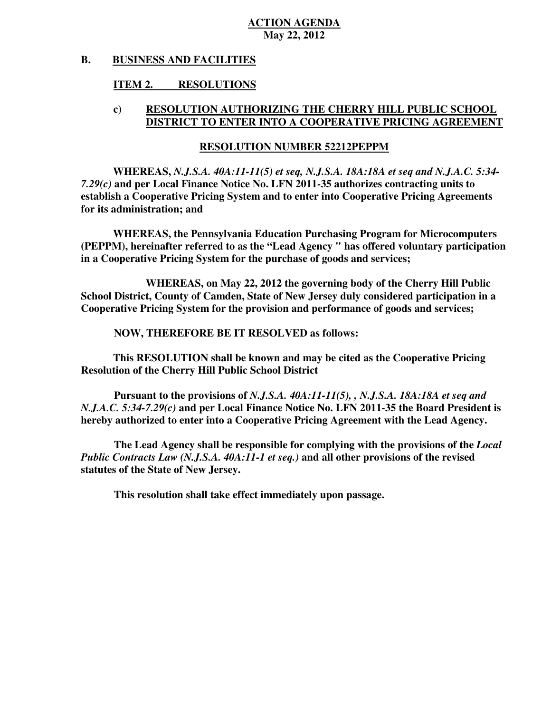#### **B. BUSINESS AND FACILITIES**

#### **ITEM 2. RESOLUTIONS**

#### **c) RESOLUTION AUTHORIZING THE CHERRY HILL PUBLIC SCHOOL DISTRICT TO ENTER INTO A COOPERATIVE PRICING AGREEMENT**

#### **RESOLUTION NUMBER 52212PEPPM**

 **WHEREAS,** *N.J.S.A. 40A:11-11(5) et seq, N.J.S.A. 18A:18A et seq and N.J.A.C. 5:34*  *7.29(c)* **and per Local Finance Notice No. LFN 2011-35 authorizes contracting units to establish a Cooperative Pricing System and to enter into Cooperative Pricing Agreements for its administration; and** 

 **WHEREAS, the Pennsylvania Education Purchasing Program for Microcomputers (PEPPM), hereinafter referred to as the "Lead Agency " has offered voluntary participation in a Cooperative Pricing System for the purchase of goods and services;** 

 **School District, County of Camden, State of New Jersey duly considered participation in a Cooperative Pricing System for the provision and performance of goods and services; WHEREAS, on May 22, 2012 the governing body of the Cherry Hill Public** 

 **NOW, THEREFORE BE IT RESOLVED as follows:** 

 **Resolution of the Cherry Hill Public School District This RESOLUTION shall be known and may be cited as the Cooperative Pricing** 

 **Pursuant to the provisions of** *N.J.S.A. 40A:11-11(5), , N.J.S.A. 18A:18A et seq and*   *N.J.A.C. 5:34-7.29(c)* **and per Local Finance Notice No. LFN 2011-35 the Board President is hereby authorized to enter into a Cooperative Pricing Agreement with the Lead Agency.** 

 *Public Contracts Law (N.J.S.A. 40A:11-1 et seq.)* **and all other provisions of the revised statutes of the State of New Jersey. The Lead Agency shall be responsible for complying with the provisions of the** *Local* 

**This resolution shall take effect immediately upon passage.**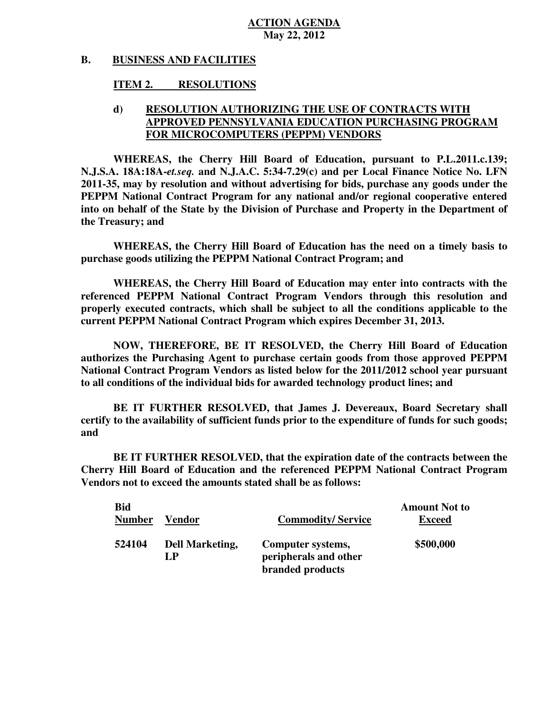#### **B. BUSINESS AND FACILITIES**

#### **ITEM 2. RESOLUTIONS**

### **d) RESOLUTION AUTHORIZING THE USE OF CONTRACTS WITH FOR MICROCOMPUTERS (PEPPM) VENDORS APPROVED PENNSYLVANIA EDUCATION PURCHASING PROGRAM**

 **WHEREAS, the Cherry Hill Board of Education, pursuant to P.L.2011.c.139; N.J.S.A. 18A:18A-***et.seq.* **and N.J.A.C. 5:34-7.29(c) and per Local Finance Notice No. LFN 2011-35, may by resolution and without advertising for bids, purchase any goods under the PEPPM National Contract Program for any national and/or regional cooperative entered into on behalf of the State by the Division of Purchase and Property in the Department of the Treasury; and** 

 **WHEREAS, the Cherry Hill Board of Education has the need on a timely basis to purchase goods utilizing the PEPPM National Contract Program; and** 

 **WHEREAS, the Cherry Hill Board of Education may enter into contracts with the referenced PEPPM National Contract Program Vendors through this resolution and properly executed contracts, which shall be subject to all the conditions applicable to the current PEPPM National Contract Program which expires December 31, 2013.** 

 **NOW, THEREFORE, BE IT RESOLVED, the Cherry Hill Board of Education authorizes the Purchasing Agent to purchase certain goods from those approved PEPPM National Contract Program Vendors as listed below for the 2011/2012 school year pursuant to all conditions of the individual bids for awarded technology product lines; and** 

 **certify to the availability of sufficient funds prior to the expenditure of funds for such goods;**  and **BE IT FURTHER RESOLVED, that James J. Devereaux, Board Secretary shall** 

 **Cherry Hill Board of Education and the referenced PEPPM National Contract Program Vendors not to exceed the amounts stated shall be as follows: and BE IT FURTHER RESOLVED, that the expiration date of the contracts between the** 

| <b>Bid</b><br><b>Number</b> | Vendor                       | <b>Commodity/Service</b>                                       | <b>Amount Not to</b><br><b>Exceed</b> |
|-----------------------------|------------------------------|----------------------------------------------------------------|---------------------------------------|
| 524104                      | <b>Dell Marketing,</b><br>LP | Computer systems,<br>peripherals and other<br>branded products | \$500,000                             |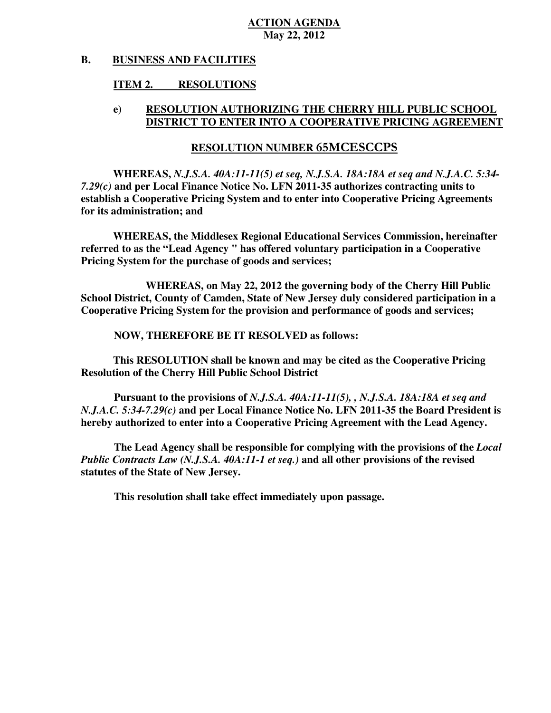#### **B. BUSINESS AND FACILITIES**

#### **ITEM 2. RESOLUTIONS**

#### **e) RESOLUTION AUTHORIZING THE CHERRY HILL PUBLIC SCHOOL DISTRICT TO ENTER INTO A COOPERATIVE PRICING AGREEMENT**

# **RESOLUTION NUMBER** 65MCESCCPS

 **WHEREAS,** *N.J.S.A. 40A:11-11(5) et seq, N.J.S.A. 18A:18A et seq and N.J.A.C. 5:34*  *7.29(c)* **and per Local Finance Notice No. LFN 2011-35 authorizes contracting units to establish a Cooperative Pricing System and to enter into Cooperative Pricing Agreements for its administration; and** 

 **WHEREAS, the Middlesex Regional Educational Services Commission, hereinafter referred to as the "Lead Agency " has offered voluntary participation in a Cooperative Pricing System for the purchase of goods and services;** 

 **School District, County of Camden, State of New Jersey duly considered participation in a Cooperative Pricing System for the provision and performance of goods and services; WHEREAS, on May 22, 2012 the governing body of the Cherry Hill Public** 

 **NOW, THEREFORE BE IT RESOLVED as follows:** 

 **Resolution of the Cherry Hill Public School District This RESOLUTION shall be known and may be cited as the Cooperative Pricing** 

 **Pursuant to the provisions of** *N.J.S.A. 40A:11-11(5), , N.J.S.A. 18A:18A et seq and*   *N.J.A.C. 5:34-7.29(c)* **and per Local Finance Notice No. LFN 2011-35 the Board President is hereby authorized to enter into a Cooperative Pricing Agreement with the Lead Agency.** 

 *Public Contracts Law (N.J.S.A. 40A:11-1 et seq.)* **and all other provisions of the revised statutes of the State of New Jersey. The Lead Agency shall be responsible for complying with the provisions of the** *Local* 

**This resolution shall take effect immediately upon passage.**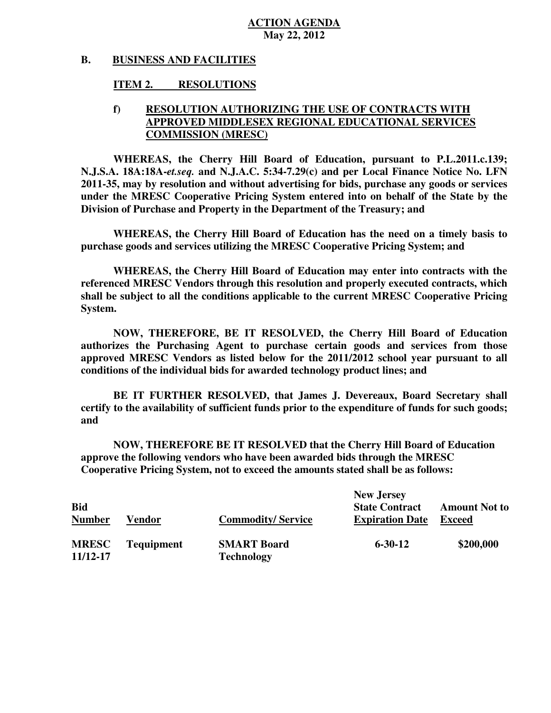#### **B. BUSINESS AND FACILITIES**

#### **ITEM 2. RESOLUTIONS**

### **f) RESOLUTION AUTHORIZING THE USE OF CONTRACTS WITH COMMISSION (MRESC) APPROVED MIDDLESEX REGIONAL EDUCATIONAL SERVICES**

 **WHEREAS, the Cherry Hill Board of Education, pursuant to P.L.2011.c.139; N.J.S.A. 18A:18A-***et.seq.* **and N.J.A.C. 5:34-7.29(c) and per Local Finance Notice No. LFN 2011-35, may by resolution and without advertising for bids, purchase any goods or services under the MRESC Cooperative Pricing System entered into on behalf of the State by the Division of Purchase and Property in the Department of the Treasury; and** 

 **WHEREAS, the Cherry Hill Board of Education has the need on a timely basis to purchase goods and services utilizing the MRESC Cooperative Pricing System; and** 

 **WHEREAS, the Cherry Hill Board of Education may enter into contracts with the referenced MRESC Vendors through this resolution and properly executed contracts, which shall be subject to all the conditions applicable to the current MRESC Cooperative Pricing System.** 

 **NOW, THEREFORE, BE IT RESOLVED, the Cherry Hill Board of Education authorizes the Purchasing Agent to purchase certain goods and services from those approved MRESC Vendors as listed below for the 2011/2012 school year pursuant to all conditions of the individual bids for awarded technology product lines; and** 

 **certify to the availability of sufficient funds prior to the expenditure of funds for such goods;**  and **BE IT FURTHER RESOLVED, that James J. Devereaux, Board Secretary shall** 

 **and NOW, THEREFORE BE IT RESOLVED that the Cherry Hill Board of Education approve the following vendors who have been awarded bids through the MRESC Cooperative Pricing System, not to exceed the amounts stated shall be as follows:** 

| <b>Bid</b><br><b>Number</b> | Vendor            | <b>Commodity/Service</b>                | <b>New Jersey</b><br><b>State Contract</b><br><b>Expiration Date</b> | <b>Amount Not to</b><br><b>Exceed</b> |
|-----------------------------|-------------------|-----------------------------------------|----------------------------------------------------------------------|---------------------------------------|
|                             |                   |                                         |                                                                      |                                       |
| <b>MRESC</b><br>11/12-17    | <b>Tequipment</b> | <b>SMART Board</b><br><b>Technology</b> | $6 - 30 - 12$                                                        | \$200,000                             |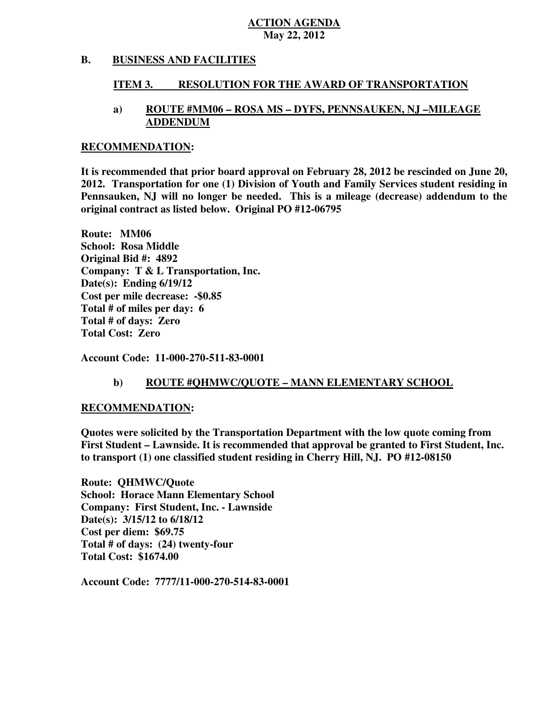#### **B. BUSINESS AND FACILITIES**

#### **ITEM 3. RESOLUTION FOR THE AWARD OF TRANSPORTATION**

#### **a) ROUTE #MM06 – ROSA MS – DYFS, PENNSAUKEN, NJ –MILEAGE ADDENDUM**

#### **RECOMMENDATION:**

 **It is recommended that prior board approval on February 28, 2012 be rescinded on June 20, 2012. Transportation for one (1) Division of Youth and Family Services student residing in Pennsauken, NJ will no longer be needed. This is a mileage (decrease) addendum to the original contract as listed below. Original PO #12-06795** 

 **Route: MM06 School: Rosa Middle Original Bid #: 4892 Company: T & L Transportation, Inc. Date(s): Ending 6/19/12 Cost per mile decrease: -\$0.85 Total # of miles per day: 6 Total # of days: Zero Total Cost: Zero** 

 **Account Code: 11-000-270-511-83-0001** 

#### **b)** ROUTE #QHMWC/QUOTE – MANN ELEMENTARY SCHOOL

#### **RECOMMENDATION:**

 **Quotes were solicited by the Transportation Department with the low quote coming from First Student – Lawnside. It is recommended that approval be granted to First Student, Inc. to transport (1) one classified student residing in Cherry Hill, NJ. PO #12-08150** 

 **Route: QHMWC/Quote School: Horace Mann Elementary School Company: First Student, Inc. - Lawnside Date(s): 3/15/12 to 6/18/12 Cost per diem: \$69.75 Total # of days: (24) twenty-four Total Cost: \$1674.00** 

 **Account Code: 7777/11-000-270-514-83-0001**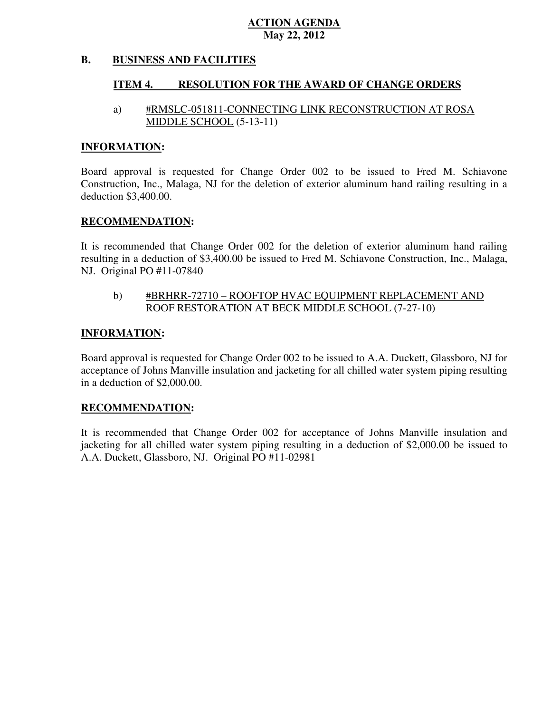#### **B. BUSINESS AND FACILITIES**

#### **ITEM 4. RESOLUTION FOR THE AWARD OF CHANGE ORDERS**

#### a) #RMSLC-051811-CONNECTING LINK RECONSTRUCTION AT ROSA MIDDLE SCHOOL (5-13-11)

#### **INFORMATION:**

 Board approval is requested for Change Order 002 to be issued to Fred M. Schiavone Construction, Inc., Malaga, NJ for the deletion of exterior aluminum hand railing resulting in a deduction \$3,400.00.

#### **RECOMMENDATION:**

 It is recommended that Change Order 002 for the deletion of exterior aluminum hand railing resulting in a deduction of \$3,400.00 be issued to Fred M. Schiavone Construction, Inc., Malaga, NJ. Original PO #11-07840

### b) #BRHRR-72710 – ROOFTOP HVAC EQUIPMENT REPLACEMENT AND ROOF RESTORATION AT BECK MIDDLE SCHOOL (7-27-10)

#### **INFORMATION:**

 Board approval is requested for Change Order 002 to be issued to A.A. Duckett, Glassboro, NJ for acceptance of Johns Manville insulation and jacketing for all chilled water system piping resulting in a deduction of \$2,000.00.

#### **RECOMMENDATION:**

 It is recommended that Change Order 002 for acceptance of Johns Manville insulation and jacketing for all chilled water system piping resulting in a deduction of \$2,000.00 be issued to A.A. Duckett, Glassboro, NJ. Original PO #11-02981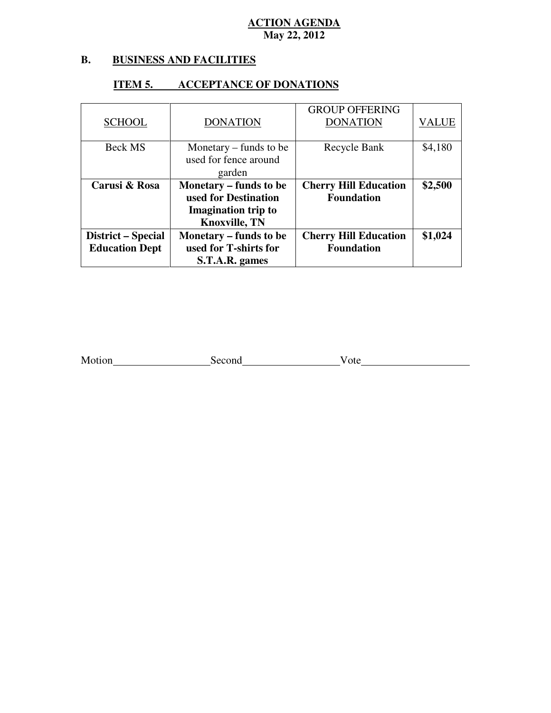#### **B. B. BUSINESS AND FACILITIES**

#### GROUP OFFERING Beck MS used for fence around Recycle Bank | \$4,180 **Carusi & Rosa used for Destination Imagination trip to Knoxville, TN Cherry Hill Education District – Special Education Dept Monetary – funds to be used for T-shirts for S.T.A.R. games Cherry Hill Education**  SCHOOL DONATION DONATION VALUE Monetary – funds to be garden **Monetary – funds to be Foundation \$2,500 Foundation \$1,024**

#### **ITEM 5. ITEM 5. ACCEPTANCE OF DONATIONS**

| Motion | Second | ote |
|--------|--------|-----|
|        |        |     |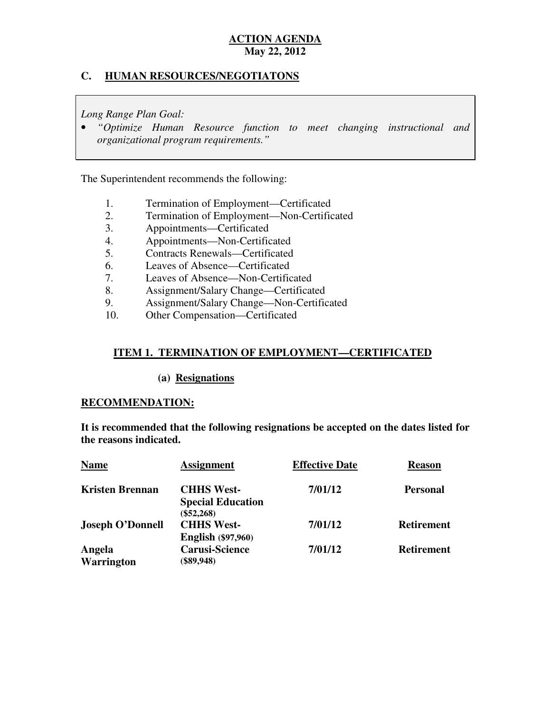### **C. HUMAN RESOURCES/NEGOTIATONS**

 *Long Range Plan Goal:* 

• "Optimize Human Resource function to meet changing instructional and  *organizational program requirements."* 

The Superintendent recommends the following:

- 1. Termination of Employment—Certificated
- 2. Termination of Employment—Non-Certificated
- 3. Appointments—Certificated
- 4. Appointments—Non-Certificated
- 5. Contracts Renewals—Certificated
- 6. Leaves of Absence—Certificated
- 7. Leaves of Absence—Non-Certificated
- 8. Assignment/Salary Change—Certificated
- 9. Assignment/Salary Change—Non-Certificated
- 10. Other Compensation—Certificated

### **ITEM 1. TERMINATION OF EMPLOYMENT—CERTIFICATED**

#### (a) Resignations

#### **RECOMMENDATION:**

 **It is recommended that the following resignations be accepted on the dates listed for the reasons indicated.** 

| <b>Name</b>                 | <b>Assignment</b>                                             | <b>Effective Date</b> | <b>Reason</b>     |
|-----------------------------|---------------------------------------------------------------|-----------------------|-------------------|
| <b>Kristen Brennan</b>      | <b>CHHS West-</b><br><b>Special Education</b><br>$(\$52,268)$ | 7/01/12               | <b>Personal</b>   |
| <b>Joseph O'Donnell</b>     | <b>CHHS West-</b><br><b>English</b> (\$97,960)                | 7/01/12               | <b>Retirement</b> |
| Angela<br><b>Warrington</b> | <b>Carusi-Science</b><br>$(\$89,948)$                         | 7/01/12               | <b>Retirement</b> |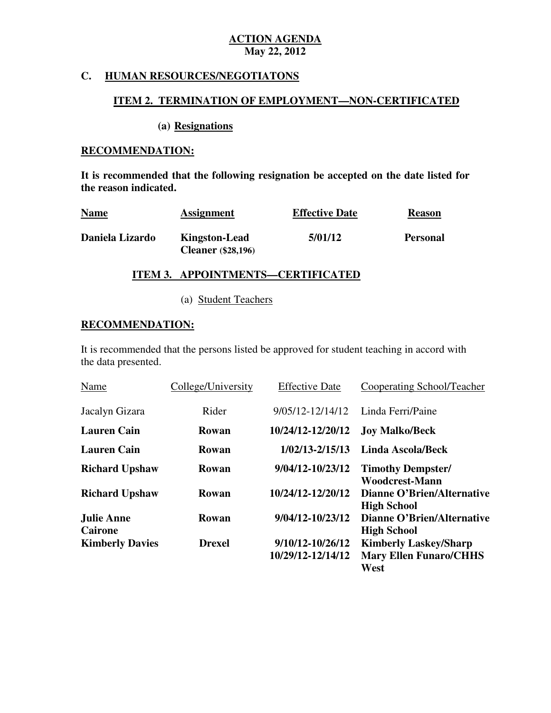#### **C. HUMAN RESOURCES/NEGOTIATONS**

#### **ITEM 2. TERMINATION OF EMPLOYMENT—NON-CERTIFICATED**

#### (a) Resignations

### **RECOMMENDATION:**

 **It is recommended that the following resignation be accepted on the date listed for the reason indicated.** 

| <b>Name</b>     | <b>Assignment</b>                                 | <b>Effective Date</b> | <b>Reason</b>   |
|-----------------|---------------------------------------------------|-----------------------|-----------------|
| Daniela Lizardo | <b>Kingston-Lead</b><br><b>Cleaner</b> (\$28,196) | 5/01/12               | <b>Personal</b> |

# **ITEM 3. APPOINTMENTS—CERTIFICATED**

(a) Student Teachers

#### **RECOMMENDATION:**

 It is recommended that the persons listed be approved for student teaching in accord with the data presented.

| Name                         | College/University | <b>Effective Date</b>                 | Cooperating School/Teacher                                            |
|------------------------------|--------------------|---------------------------------------|-----------------------------------------------------------------------|
| Jacalyn Gizara               | Rider              | $9/05/12 - 12/14/12$                  | Linda Ferri/Paine                                                     |
| <b>Lauren Cain</b>           | Rowan              | 10/24/12-12/20/12                     | <b>Joy Malko/Beck</b>                                                 |
| <b>Lauren Cain</b>           | Rowan              | $1/02/13 - 2/15/13$                   | <b>Linda Ascola/Beck</b>                                              |
| <b>Richard Upshaw</b>        | Rowan              | 9/04/12-10/23/12                      | <b>Timothy Dempster/</b><br><b>Woodcrest-Mann</b>                     |
| <b>Richard Upshaw</b>        | Rowan              | 10/24/12-12/20/12                     | <b>Dianne O'Brien/Alternative</b><br><b>High School</b>               |
| Julie Anne<br><b>Cairone</b> | Rowan              | 9/04/12-10/23/12                      | <b>Dianne O'Brien/Alternative</b><br><b>High School</b>               |
| <b>Kimberly Davies</b>       | <b>Drexel</b>      | 9/10/12-10/26/12<br>10/29/12-12/14/12 | <b>Kimberly Laskey/Sharp</b><br><b>Mary Ellen Funaro/CHHS</b><br>West |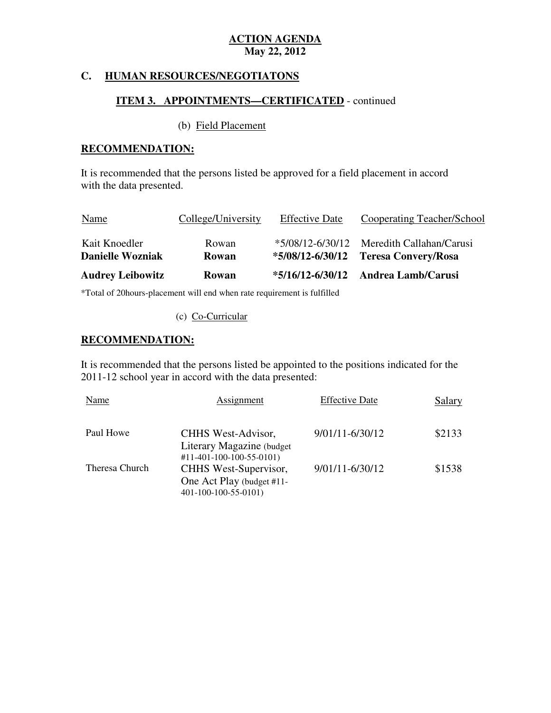#### **C. HUMAN RESOURCES/NEGOTIATONS**

#### **ITEM 3. APPOINTMENTS—CERTIFICATED** - continued

#### (b) Field Placement

#### **RECOMMENDATION:**

 It is recommended that the persons listed be approved for a field placement in accord with the data presented.

| <b>Name</b>             | College/University | <b>Effective Date</b> | Cooperating Teacher/School          |
|-------------------------|--------------------|-----------------------|-------------------------------------|
| Kait Knoedler           | Rowan              | $*5/08/12 - 6/30/12$  | Meredith Callahan/Carusi            |
| <b>Danielle Wozniak</b> | Rowan              | $*5/08/12 - 6/30/12$  | <b>Teresa Convery/Rosa</b>          |
| <b>Audrey Leibowitz</b> | <b>Rowan</b>       |                       | *5/16/12-6/30/12 Andrea Lamb/Carusi |

\*Total of 20hours-placement will end when rate requirement is fulfilled

#### (c) Co-Curricular

### **RECOMMENDATION:**

 It is recommended that the persons listed be appointed to the positions indicated for the 2011-12 school year in accord with the data presented:

| Name           | Assignment                                                    | <b>Effective Date</b> | Salary |
|----------------|---------------------------------------------------------------|-----------------------|--------|
| Paul Howe      | CHHS West-Advisor,<br>Literary Magazine (budget)              | 9/01/11-6/30/12       | \$2133 |
| Theresa Church | $\#11 - 401 - 100 - 100 - 55 - 0101$<br>CHHS West-Supervisor, | 9/01/11-6/30/12       | \$1538 |
|                | One Act Play (budget #11-<br>401-100-100-55-0101)             |                       |        |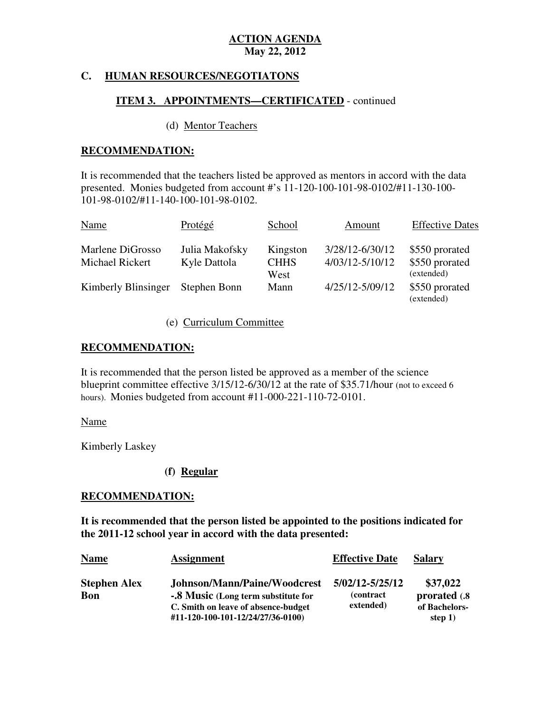### **C. HUMAN RESOURCES/NEGOTIATONS**

#### **ITEM 3. APPOINTMENTS—CERTIFICATED** - continued

#### (d) Mentor Teachers

#### **RECOMMENDATION:**

 It is recommended that the teachers listed be approved as mentors in accord with the data presented. Monies budgeted from account #'s 11-120-100-101-98-0102/#11-130-100 101-98-0102/#11-140-100-101-98-0102.

| Name                | Protégé        | School              | Amount              | <b>Effective Dates</b>       |
|---------------------|----------------|---------------------|---------------------|------------------------------|
| Marlene DiGrosso    | Julia Makofsky | Kingston            | 3/28/12-6/30/12     | \$550 prorated               |
| Michael Rickert     | Kyle Dattola   | <b>CHHS</b><br>West | $4/03/12 - 5/10/12$ | \$550 prorated<br>(extended) |
| Kimberly Blinsinger | Stephen Bonn   | Mann                | 4/25/12-5/09/12     | \$550 prorated<br>(extended) |

#### (e) Curriculum Committee

#### **RECOMMENDATION:**

 It is recommended that the person listed be approved as a member of the science blueprint committee effective 3/15/12-6/30/12 at the rate of \$35.71/hour (not to exceed 6 hours). Monies budgeted from account #11-000-221-110-72-0101.

#### Name

Kimberly Laskey

#### **(f) Regular**

#### **RECOMMENDATION:**

 **It is recommended that the person listed be appointed to the positions indicated for the 2011-12 school year in accord with the data presented:** 

| <b>Name</b>                       | <b>Assignment</b>                                                                                          | <b>Effective Date</b>                             | <b>Salary</b>                              |
|-----------------------------------|------------------------------------------------------------------------------------------------------------|---------------------------------------------------|--------------------------------------------|
| <b>Stephen Alex</b><br><b>Bon</b> | Johnson/Mann/Paine/Woodcrest<br>-.8 Music (Long term substitute for<br>C. Smith on leave of absence-budget | 5/02/12-5/25/12<br><i>(contract)</i><br>extended) | \$37,022<br>prorated (.8)<br>of Bachelors- |
|                                   | #11-120-100-101-12/24/27/36-0100)                                                                          |                                                   | step $1)$                                  |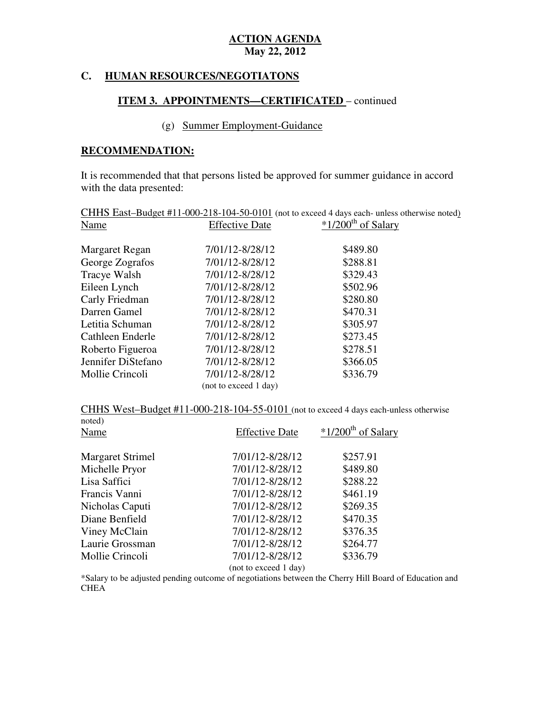#### **HUMAN RESOURCES/NEGOTIATONS**

#### **ITEM 3. APPOINTMENTS—CERTIFICATED** – continued

### (g) Summer Employment-Guidance

#### **RECOMMENDATION:**

 It is recommended that that persons listed be approved for summer guidance in accord with the data presented:

| CHHS East-Budget #11-000-218-104-50-0101 (not to exceed 4 days each- unless otherwise noted) |                       |                                  |  |
|----------------------------------------------------------------------------------------------|-----------------------|----------------------------------|--|
| Name                                                                                         | <b>Effective Date</b> | $*1/200$ <sup>th</sup> of Salary |  |
|                                                                                              |                       |                                  |  |
| Margaret Regan                                                                               | 7/01/12-8/28/12       | \$489.80                         |  |
| George Zografos                                                                              | 7/01/12-8/28/12       | \$288.81                         |  |
| Tracye Walsh                                                                                 | 7/01/12-8/28/12       | \$329.43                         |  |
| Eileen Lynch                                                                                 | 7/01/12-8/28/12       | \$502.96                         |  |
| Carly Friedman                                                                               | 7/01/12-8/28/12       | \$280.80                         |  |
| Darren Gamel                                                                                 | 7/01/12-8/28/12       | \$470.31                         |  |
| Letitia Schuman                                                                              | 7/01/12-8/28/12       | \$305.97                         |  |
| Cathleen Enderle                                                                             | 7/01/12-8/28/12       | \$273.45                         |  |
| Roberto Figueroa                                                                             | 7/01/12-8/28/12       | \$278.51                         |  |
| Jennifer DiStefano                                                                           | 7/01/12-8/28/12       | \$366.05                         |  |
| Mollie Crincoli                                                                              | 7/01/12-8/28/12       | \$336.79                         |  |
|                                                                                              | (not to exceed 1 day) |                                  |  |

CHHS West-Budget  $\text{\#11-000-218-104-55-0101}$  (not to exceed 4 days each-unless otherwise

| noted)                  |                       |                                  |
|-------------------------|-----------------------|----------------------------------|
| Name                    | <b>Effective Date</b> | $*1/200$ <sup>th</sup> of Salary |
|                         |                       |                                  |
| <b>Margaret Strimel</b> | 7/01/12-8/28/12       | \$257.91                         |
| Michelle Pryor          | 7/01/12-8/28/12       | \$489.80                         |
| Lisa Saffici            | 7/01/12-8/28/12       | \$288.22                         |
| Francis Vanni           | 7/01/12-8/28/12       | \$461.19                         |
| Nicholas Caputi         | 7/01/12-8/28/12       | \$269.35                         |
| Diane Benfield          | 7/01/12-8/28/12       | \$470.35                         |
| Viney McClain           | 7/01/12-8/28/12       | \$376.35                         |
| Laurie Grossman         | 7/01/12-8/28/12       | \$264.77                         |
| Mollie Crincoli         | 7/01/12-8/28/12       | \$336.79                         |
|                         | (not to exceed 1 day) |                                  |

\*Salary to be adjusted pending outcome of negotiations between the Cherry Hill Board of Education and CHEA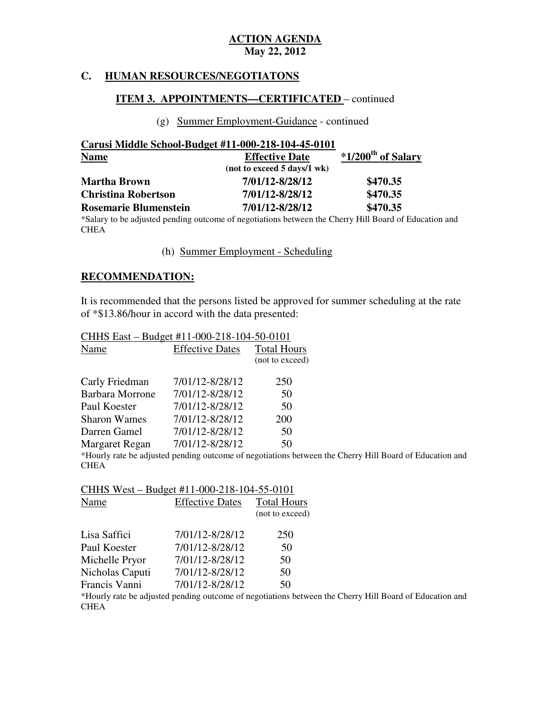#### **HUMAN RESOURCES/NEGOTIATONS**

#### **ITEM 3. APPOINTMENTS—CERTIFICATED** – continued

#### (g) Summer Employment-Guidance - continued

| Carusi Middle School-Budget #11-000-218-104-45-0101 |                             |                                  |
|-----------------------------------------------------|-----------------------------|----------------------------------|
| <b>Name</b>                                         | <b>Effective Date</b>       | $*1/200$ <sup>th</sup> of Salary |
|                                                     | (not to exceed 5 days/1 wk) |                                  |
| <b>Martha Brown</b>                                 | 7/01/12-8/28/12             | \$470.35                         |
| <b>Christina Robertson</b>                          | 7/01/12-8/28/12             | \$470.35                         |
| <b>Rosemarie Blumenstein</b>                        | 7/01/12-8/28/12             | \$470.35                         |

 \*Salary to be adjusted pending outcome of negotiations between the Cherry Hill Board of Education and **CHEA** 

(h) Summer Employment - Scheduling

#### **RECOMMENDATION:**

 It is recommended that the persons listed be approved for summer scheduling at the rate of \*\$13.86/hour in accord with the data presented:

| CHHS East – Budget #11-000-218-104-50-0101 |                                                                  |                    |  |
|--------------------------------------------|------------------------------------------------------------------|--------------------|--|
| Name                                       | <b>Effective Dates</b>                                           | <b>Total Hours</b> |  |
|                                            |                                                                  | (not to exceed)    |  |
| Carly Friedman                             | 7/01/12-8/28/12                                                  | 250                |  |
| <b>Barbara Morrone</b>                     | 7/01/12-8/28/12                                                  | 50                 |  |
| Paul Koester                               | 7/01/12-8/28/12                                                  | 50                 |  |
| <b>Sharon Wames</b>                        | 7/01/12-8/28/12                                                  | 200                |  |
| Darren Gamel                               | 7/01/12-8/28/12                                                  | 50                 |  |
| Margaret Regan                             | 7/01/12-8/28/12                                                  | 50                 |  |
|                                            | *Hourly rate be adjusted pending outcome of negotiations between |                    |  |

 \*Hourly rate be adjusted pending outcome of negotiations between the Cherry Hill Board of Education and **CHEA** 

CHHS West – Budget #11-000-218-104-55-0101

| Name            | <b>Effective Dates</b> | <b>Total Hours</b> |
|-----------------|------------------------|--------------------|
|                 |                        | (not to exceed)    |
| Lisa Saffici    | 7/01/12-8/28/12        | 250                |
| Paul Koester    | 7/01/12-8/28/12        | 50                 |
| Michelle Pryor  | 7/01/12-8/28/12        | 50                 |
| Nicholas Caputi | 7/01/12-8/28/12        | 50                 |
| Francis Vanni   | 7/01/12-8/28/12        | 50                 |

 \*Hourly rate be adjusted pending outcome of negotiations between the Cherry Hill Board of Education and **CHEA**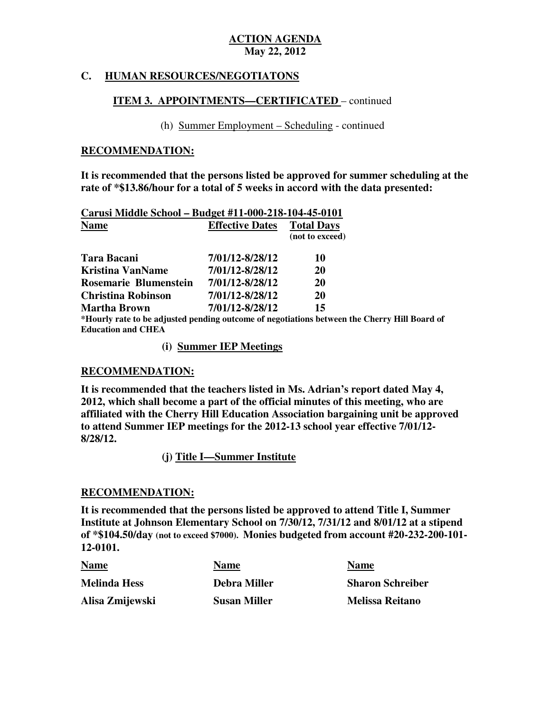### **C. HUMAN RESOURCES/NEGOTIATONS**

#### **ITEM 3. APPOINTMENTS—CERTIFICATED** – continued

(h) Summer Employment – Scheduling - continued

#### **RECOMMENDATION:**

 **It is recommended that the persons listed be approved for summer scheduling at the rate of \*\$13.86/hour for a total of 5 weeks in accord with the data presented:** 

| Carusi Middle School - Budget #11-000-218-104-45-0101 |                        |                                                                                              |
|-------------------------------------------------------|------------------------|----------------------------------------------------------------------------------------------|
| <b>Name</b>                                           | <b>Effective Dates</b> | <b>Total Days</b><br>(not to exceed)                                                         |
| <b>Tara Bacani</b>                                    | 7/01/12-8/28/12        | 10                                                                                           |
| <b>Kristina VanName</b>                               | 7/01/12-8/28/12        | <b>20</b>                                                                                    |
| Rosemarie Blumenstein                                 | 7/01/12-8/28/12        | <b>20</b>                                                                                    |
| <b>Christina Robinson</b>                             | 7/01/12-8/28/12        | <b>20</b>                                                                                    |
| Martha Brown                                          | 7/01/12-8/28/12        | 15                                                                                           |
|                                                       |                        | *Hourly rate to be adjusted pending outcome of negotiations between the Cherry Hill Board of |

 **Education and CHEA** 

**(i) Summer IEP Meetings** 

#### **RECOMMENDATION:**

 **It is recommended that the teachers listed in Ms. Adrian's report dated May 4, 2012, which shall become a part of the official minutes of this meeting, who are affiliated with the Cherry Hill Education Association bargaining unit be approved to attend Summer IEP meetings for the 2012-13 school year effective 7/01/12 8/28/12.** 

 **(j) Title I—Summer Institute** 

#### **RECOMMENDATION:**

 **It is recommended that the persons listed be approved to attend Title I, Summer Institute at Johnson Elementary School on 7/30/12, 7/31/12 and 8/01/12 at a stipend of \*\$104.50/day (not to exceed \$7000). Monies budgeted from account #20-232-200-101 12-0101.** 

| 12-0101.            |                     |                         |
|---------------------|---------------------|-------------------------|
| <b>Name</b>         | <b>Name</b>         | <b>Name</b>             |
| <b>Melinda Hess</b> | <b>Debra Miller</b> | <b>Sharon Schreiber</b> |
| Alisa Zmijewski     | <b>Susan Miller</b> | <b>Melissa Reitano</b>  |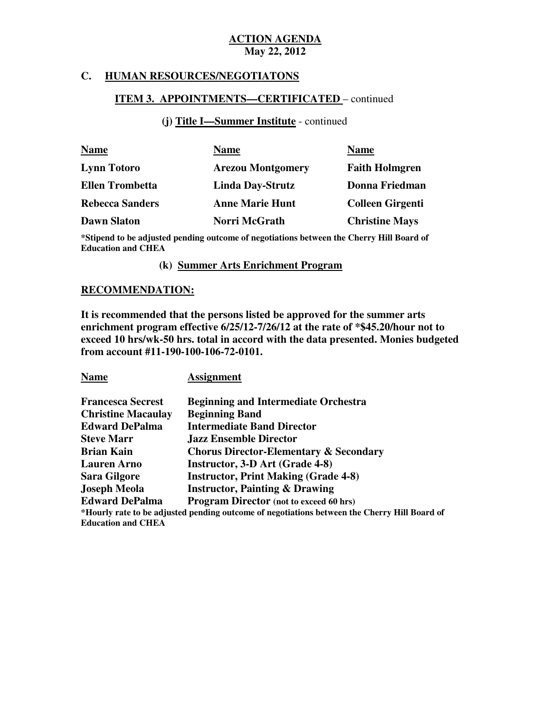#### **C. HUMAN RESOURCES/NEGOTIATONS**

#### **ITEM 3. APPOINTMENTS—CERTIFICATED** – continued

#### **(j) Title I—Summer Institute** - continued

| <b>Name</b>            | <b>Name</b>              | <b>Name</b>             |
|------------------------|--------------------------|-------------------------|
| <b>Lynn Totoro</b>     | <b>Arezou Montgomery</b> | <b>Faith Holmgren</b>   |
| <b>Ellen Trombetta</b> | <b>Linda Day-Strutz</b>  | Donna Friedman          |
| <b>Rebecca Sanders</b> | <b>Anne Marie Hunt</b>   | <b>Colleen Girgenti</b> |
| <b>Dawn Slaton</b>     | Norri McGrath            | <b>Christine Mays</b>   |

 **\*Stipend to be adjusted pending outcome of negotiations between the Cherry Hill Board of Education and CHEA** 

#### **(k) Summer Arts Enrichment Program**

#### **RECOMMENDATION:**

 **It is recommended that the persons listed be approved for the summer arts enrichment program effective 6/25/12-7/26/12 at the rate of \*\$45.20/hour not to exceed 10 hrs/wk-50 hrs. total in accord with the data presented. Monies budgeted from account #11-190-100-106-72-0101.** 

**Name Assignment** 

| <b>Francesca Secrest</b>  | <b>Beginning and Intermediate Orchestra</b>                                                  |
|---------------------------|----------------------------------------------------------------------------------------------|
| <b>Christine Macaulay</b> | <b>Beginning Band</b>                                                                        |
| <b>Edward DePalma</b>     | <b>Intermediate Band Director</b>                                                            |
| <b>Steve Marr</b>         | <b>Jazz Ensemble Director</b>                                                                |
| <b>Brian Kain</b>         | <b>Chorus Director-Elementary &amp; Secondary</b>                                            |
| <b>Lauren</b> Arno        | Instructor, 3-D Art (Grade 4-8)                                                              |
| <b>Sara Gilgore</b>       | <b>Instructor, Print Making (Grade 4-8)</b>                                                  |
| <b>Joseph Meola</b>       | <b>Instructor, Painting &amp; Drawing</b>                                                    |
| <b>Edward DePalma</b>     | Program Director (not to exceed 60 hrs)                                                      |
|                           | *Hourly rate to be adjusted pending outcome of negotiations between the Cherry Hill Board of |
| <b>Education and CHEA</b> |                                                                                              |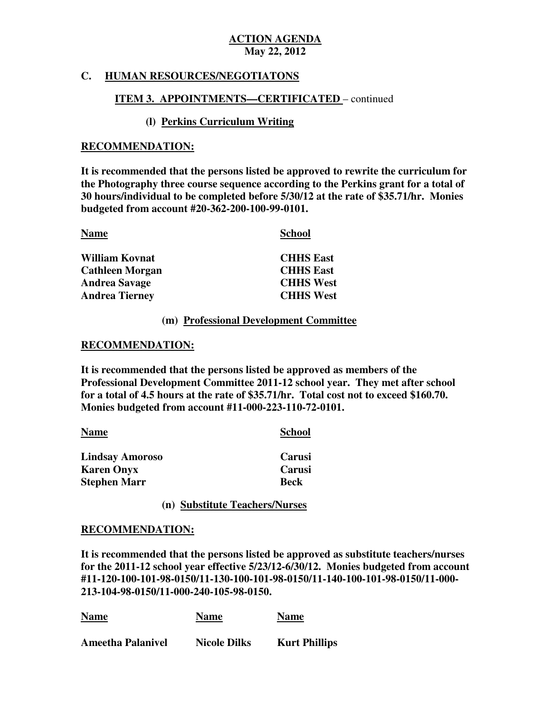### **C. HUMAN RESOURCES/NEGOTIATONS**

#### **ITEM 3. APPOINTMENTS—CERTIFICATED** – continued

#### **(l) Perkins Curriculum Writing**

#### **RECOMMENDATION:**

 **It is recommended that the persons listed be approved to rewrite the curriculum for the Photography three course sequence according to the Perkins grant for a total of 30 hours/individual to be completed before 5/30/12 at the rate of \$35.71/hr. Monies budgeted from account #20-362-200-100-99-0101.** 

| <b>Name</b>            | <b>School</b>    |
|------------------------|------------------|
| <b>William Kovnat</b>  | <b>CHHS East</b> |
| <b>Cathleen Morgan</b> | <b>CHHS East</b> |
| <b>Andrea Savage</b>   | <b>CHHS West</b> |
| <b>Andrea Tierney</b>  | <b>CHHS West</b> |

#### **(m) Professional Development Committee**

#### **RECOMMENDATION:**

 **It is recommended that the persons listed be approved as members of the Professional Development Committee 2011-12 school year. They met after school for a total of 4.5 hours at the rate of \$35.71/hr. Total cost not to exceed \$160.70. Monies budgeted from account #11-000-223-110-72-0101.** 

| <b>Name</b>            | <b>School</b> |
|------------------------|---------------|
| <b>Lindsay Amoroso</b> | Carusi        |
| <b>Karen Onyx</b>      | Carusi        |
| <b>Stephen Marr</b>    | <b>Beck</b>   |

**(n) Substitute Teachers/Nurses** 

#### **RECOMMENDATION:**

 **It is recommended that the persons listed be approved as substitute teachers/nurses for the 2011-12 school year effective 5/23/12-6/30/12. Monies budgeted from account #11-120-100-101-98-0150/11-130-100-101-98-0150/11-140-100-101-98-0150/11-000 213-104-98-0150/11-000-240-105-98-0150.** 

| <b>Name</b>              | <b>Name</b>         | <b>Name</b>          |
|--------------------------|---------------------|----------------------|
| <b>Ameetha Palanivel</b> | <b>Nicole Dilks</b> | <b>Kurt Phillips</b> |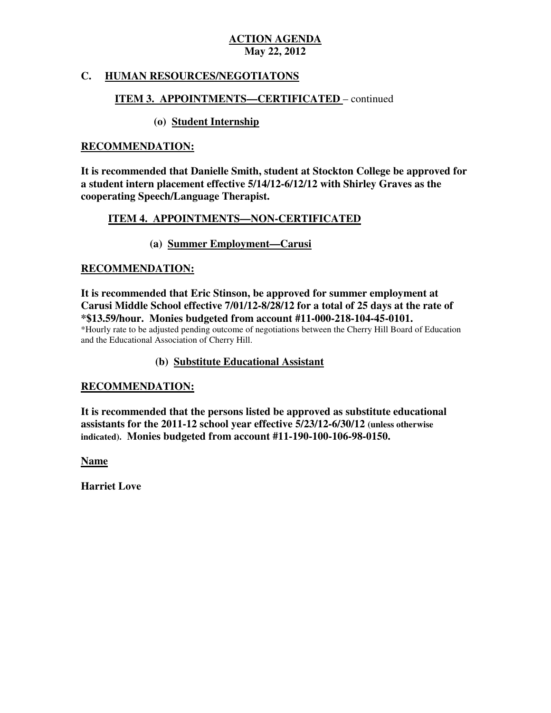#### **HUMAN RESOURCES/NEGOTIATONS**

### **ITEM 3. APPOINTMENTS—CERTIFICATED** – continued

### **(o) Student Internship**

#### **RECOMMENDATION:**

 **It is recommended that Danielle Smith, student at Stockton College be approved for a student intern placement effective 5/14/12-6/12/12 with Shirley Graves as the cooperating Speech/Language Therapist.** 

#### **ITEM 4. APPOINTMENTS—NON-CERTIFICATED**

### **(a) Summer Employment—Carusi**

#### **RECOMMENDATION:**

 **It is recommended that Eric Stinson, be approved for summer employment at Carusi Middle School effective 7/01/12-8/28/12 for a total of 25 days at the rate of \*\$13.59/hour. Monies budgeted from account #11-000-218-104-45-0101.**  and the Educational Association of Cherry Hill. \*Hourly rate to be adjusted pending outcome of negotiations between the Cherry Hill Board of Education

#### **(b) Substitute Educational Assistant**

#### **RECOMMENDATION:**

 **It is recommended that the persons listed be approved as substitute educational assistants for the 2011-12 school year effective 5/23/12-6/30/12 (unless otherwise indicated). Monies budgeted from account #11-190-100-106-98-0150.** 

**Name** 

 **Harriet Love**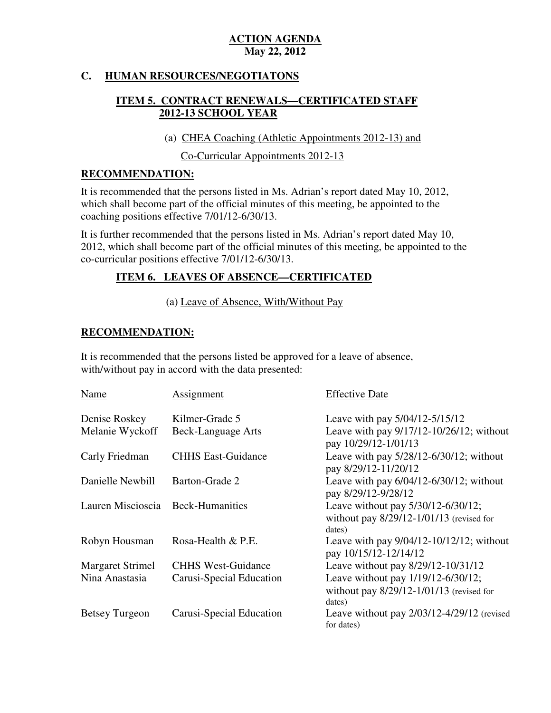#### $\mathbf{C}$ . **HUMAN RESOURCES/NEGOTIATONS**

## **ITEM 5. CONTRACT RENEWALS—CERTIFICATED STAFF 2012-13 SCHOOL YEAR**

(a) CHEA Coaching (Athletic Appointments 2012-13) and

Co-Curricular Appointments 2012-13

### **RECOMMENDATION:**

 It is recommended that the persons listed in Ms. Adrian's report dated May 10, 2012, which shall become part of the official minutes of this meeting, be appointed to the coaching positions effective 7/01/12-6/30/13.

 It is further recommended that the persons listed in Ms. Adrian's report dated May 10, 2012, which shall become part of the official minutes of this meeting, be appointed to the co-curricular positions effective 7/01/12-6/30/13.

## **ITEM 6. LEAVES OF ABSENCE—CERTIFICATED**

(a) Leave of Absence, With/Without Pay

### **RECOMMENDATION:**

 It is recommended that the persons listed be approved for a leave of absence, with/without pay in accord with the data presented:

| <b>Name</b>             | Assignment                | <b>Effective Date</b>                                                                        |
|-------------------------|---------------------------|----------------------------------------------------------------------------------------------|
| Denise Roskey           | Kilmer-Grade 5            | Leave with pay 5/04/12-5/15/12                                                               |
| Melanie Wyckoff         | Beck-Language Arts        | Leave with pay 9/17/12-10/26/12; without<br>pay 10/29/12-1/01/13                             |
| Carly Friedman          | <b>CHHS East-Guidance</b> | Leave with pay 5/28/12-6/30/12; without<br>pay 8/29/12-11/20/12                              |
| Danielle Newbill        | Barton-Grade 2            | Leave with pay $6/04/12-6/30/12$ ; without<br>pay 8/29/12-9/28/12                            |
| Lauren Miscioscia       | <b>Beck-Humanities</b>    | Leave without pay 5/30/12-6/30/12;<br>without pay $8/29/12 - 1/01/13$ (revised for<br>dates) |
| Robyn Housman           | Rosa-Health & P.E.        | Leave with pay $9/04/12-10/12/12$ ; without<br>pay 10/15/12-12/14/12                         |
| <b>Margaret Strimel</b> | <b>CHHS West-Guidance</b> | Leave without pay 8/29/12-10/31/12                                                           |
| Nina Anastasia          | Carusi-Special Education  | Leave without pay 1/19/12-6/30/12;<br>without pay $8/29/12 - 1/01/13$ (revised for<br>dates) |
| <b>Betsey Turgeon</b>   | Carusi-Special Education  | Leave without pay $2/03/12-4/29/12$ (revised<br>for dates)                                   |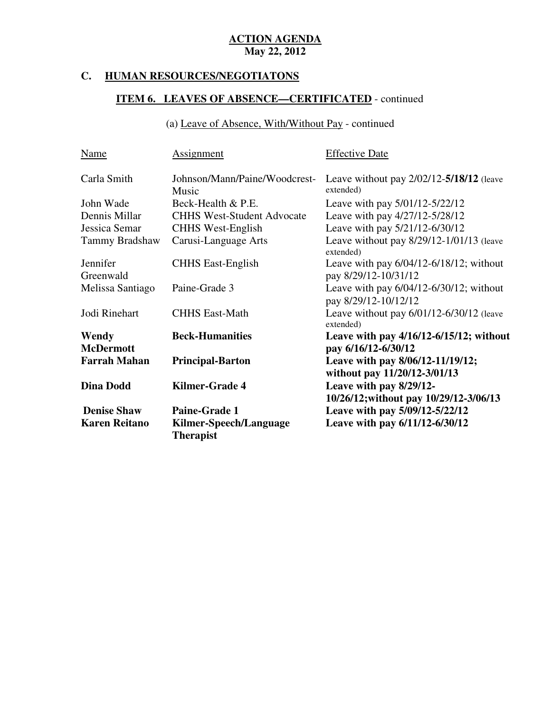#### **C. HUMAN RESOURCES/NEGOTIATONS**

# **ITEM 6. LEAVES OF ABSENCE—CERTIFICATED** - continued

(a) Leave of Absence, With/Without Pay - continued

| <b>Name</b>          | <b>Assignment</b>                          | <b>Effective Date</b>                                                |
|----------------------|--------------------------------------------|----------------------------------------------------------------------|
| Carla Smith          | Johnson/Mann/Paine/Woodcrest-<br>Music     | Leave without pay $2/02/12 - 5/18/12$ (leave<br>extended)            |
| John Wade            | Beck-Health & P.E.                         | Leave with pay 5/01/12-5/22/12                                       |
| Dennis Millar        | <b>CHHS West-Student Advocate</b>          | Leave with pay 4/27/12-5/28/12                                       |
| Jessica Semar        | <b>CHHS</b> West-English                   | Leave with pay 5/21/12-6/30/12                                       |
| Tammy Bradshaw       | Carusi-Language Arts                       | Leave without pay 8/29/12-1/01/13 (leave<br>extended)                |
| Jennifer             | <b>CHHS East-English</b>                   | Leave with pay $6/04/12 - 6/18/12$ ; without                         |
| Greenwald            |                                            | pay 8/29/12-10/31/12                                                 |
| Melissa Santiago     | Paine-Grade 3                              | Leave with pay $6/04/12 - 6/30/12$ ; without<br>pay 8/29/12-10/12/12 |
| Jodi Rinehart        | <b>CHHS East-Math</b>                      | Leave without pay $6/01/12 - 6/30/12$ (leave<br>extended)            |
| Wendy                | <b>Beck-Humanities</b>                     | Leave with pay 4/16/12-6/15/12; without                              |
| <b>McDermott</b>     |                                            | pay 6/16/12-6/30/12                                                  |
| <b>Farrah Mahan</b>  | <b>Principal-Barton</b>                    | Leave with pay 8/06/12-11/19/12;<br>without pay 11/20/12-3/01/13     |
| <b>Dina Dodd</b>     | <b>Kilmer-Grade 4</b>                      | Leave with pay 8/29/12-                                              |
|                      |                                            | 10/26/12; without pay 10/29/12-3/06/13                               |
| <b>Denise Shaw</b>   | <b>Paine-Grade 1</b>                       | Leave with pay 5/09/12-5/22/12                                       |
| <b>Karen Reitano</b> | Kilmer-Speech/Language<br><b>Therapist</b> | Leave with pay 6/11/12-6/30/12                                       |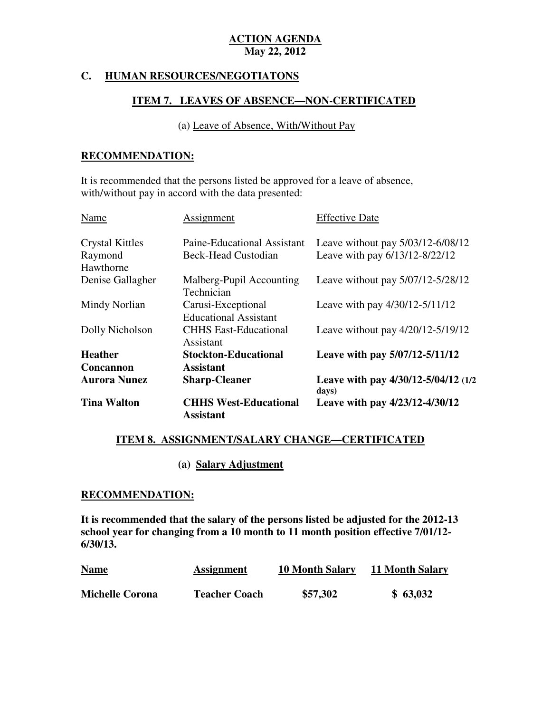### **C. HUMAN RESOURCES/NEGOTIATONS**

#### **ITEM 7. LEAVES OF ABSENCE—NON-CERTIFICATED**

(a) Leave of Absence, With/Without Pay

### **RECOMMENDATION:**

 It is recommended that the persons listed be approved for a leave of absence, with/without pay in accord with the data presented:

| <b>Tina Walton</b>                      | <b>CHHS West-Educational</b><br><b>Assistant</b>             | Leave with pay 4/23/12-4/30/12                                      |
|-----------------------------------------|--------------------------------------------------------------|---------------------------------------------------------------------|
|                                         | <b>Sharp-Cleaner</b>                                         | days)                                                               |
| <b>Concannon</b><br><b>Aurora Nunez</b> | <b>Assistant</b>                                             | Leave with pay 4/30/12-5/04/12 (1/2)                                |
| <b>Heather</b>                          | <b>Stockton-Educational</b>                                  | Leave with pay 5/07/12-5/11/12                                      |
|                                         | Assistant                                                    |                                                                     |
| Dolly Nicholson                         | <b>Educational Assistant</b><br><b>CHHS East-Educational</b> | Leave without pay $4/20/12 - 5/19/12$                               |
| Mindy Norlian                           | Carusi-Exceptional                                           | Leave with pay 4/30/12-5/11/12                                      |
| Denise Gallagher                        | Malberg-Pupil Accounting<br>Technician                       | Leave without pay 5/07/12-5/28/12                                   |
| Hawthorne                               |                                                              |                                                                     |
| <b>Crystal Kittles</b><br>Raymond       | Paine-Educational Assistant<br><b>Beck-Head Custodian</b>    | Leave without pay 5/03/12-6/08/12<br>Leave with pay 6/13/12-8/22/12 |
| Name                                    | Assignment                                                   | <b>Effective Date</b>                                               |

### **ITEM 8. ASSIGNMENT/SALARY CHANGE—CERTIFICATED**

**(a) Salary Adjustment** 

#### **RECOMMENDATION:**

 **It is recommended that the salary of the persons listed be adjusted for the 2012-13 school year for changing from a 10 month to 11 month position effective 7/01/12 6/30/13.** 

| <b>Name</b>            | <b>Assignment</b>    | <b>10 Month Salary</b> | <b>11 Month Salary</b> |
|------------------------|----------------------|------------------------|------------------------|
| <b>Michelle Corona</b> | <b>Teacher Coach</b> | \$57,302               | \$63,032               |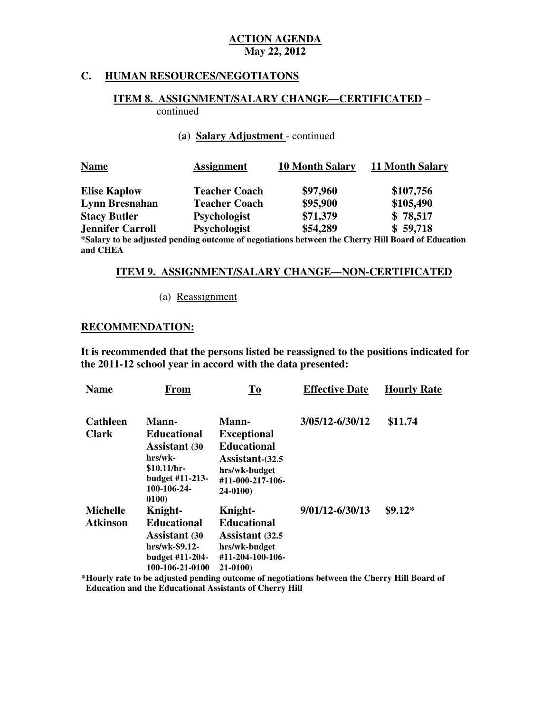#### **C. HUMAN RESOURCES/NEGOTIATONS**

#### **ITEM 8. ASSIGNMENT/SALARY CHANGE—CERTIFICATED** – continued

#### **(a) Salary Adjustment** - continued

| <b>Name</b>             | <b>Assignment</b>    | <b>10 Month Salary</b> | 11 Month Salary                                                                                     |
|-------------------------|----------------------|------------------------|-----------------------------------------------------------------------------------------------------|
| <b>Elise Kaplow</b>     | <b>Teacher Coach</b> | \$97,960               | \$107,756                                                                                           |
| <b>Lynn Bresnahan</b>   | <b>Teacher Coach</b> | \$95,900               | \$105,490                                                                                           |
| <b>Stacy Butler</b>     | <b>Psychologist</b>  | \$71,379               | \$78,517                                                                                            |
| <b>Jennifer Carroll</b> | <b>Psychologist</b>  | \$54,289               | \$59,718                                                                                            |
|                         |                      |                        | Salary to be adjusted pending outcome of negotiations between the Cherry Hill Board of Educatio**** |

 **and CHEA the pending outcome of negotiations between the Cherry Hill Board of Education** 

#### **ITEM 9. ASSIGNMENT/SALARY CHANGE—NON-CERTIFICATED**

#### (a) Reassignment

#### **RECOMMENDATION:**

 **It is recommended that the persons listed be reassigned to the positions indicated for the 2011-12 school year in accord with the data presented:** 

| <b>Name</b>     | From                                                                                     | To                                                                           | <b>Effective Date</b> | <b>Hourly Rate</b> |
|-----------------|------------------------------------------------------------------------------------------|------------------------------------------------------------------------------|-----------------------|--------------------|
| <b>Cathleen</b> | <b>Mann-</b>                                                                             | <b>Mann-</b>                                                                 | 3/05/12-6/30/12       | \$11.74            |
| <b>Clark</b>    | <b>Educational</b><br><b>Assistant</b> (30<br>hrs/wk-<br>$$10.11/hr-$<br>budget #11-213- | <b>Exceptional</b><br><b>Educational</b><br>Assistant-(32.5<br>hrs/wk-budget |                       |                    |
|                 | 100-106-24-<br>0100)                                                                     | #11-000-217-106-<br>24-0100)                                                 |                       |                    |
| <b>Michelle</b> | Knight-                                                                                  | Knight-                                                                      | 9/01/12-6/30/13       | $$9.12*$           |
| <b>Atkinson</b> | <b>Educational</b>                                                                       | <b>Educational</b>                                                           |                       |                    |
|                 | <b>Assistant</b> (30                                                                     | <b>Assistant</b> (32.5)                                                      |                       |                    |
|                 | $hrs/wk-$ \$9.12-                                                                        | hrs/wk-budget                                                                |                       |                    |
|                 | budget #11-204-                                                                          | #11-204-100-106-                                                             |                       |                    |
|                 | 100-106-21-0100                                                                          | $21-0100$                                                                    | $\sim$                |                    |

**\*Hourly rate to be adjusted pending outcome of negotiations between the Cherry Hill Board of Education and the Educational Assistants of Cherry Hill**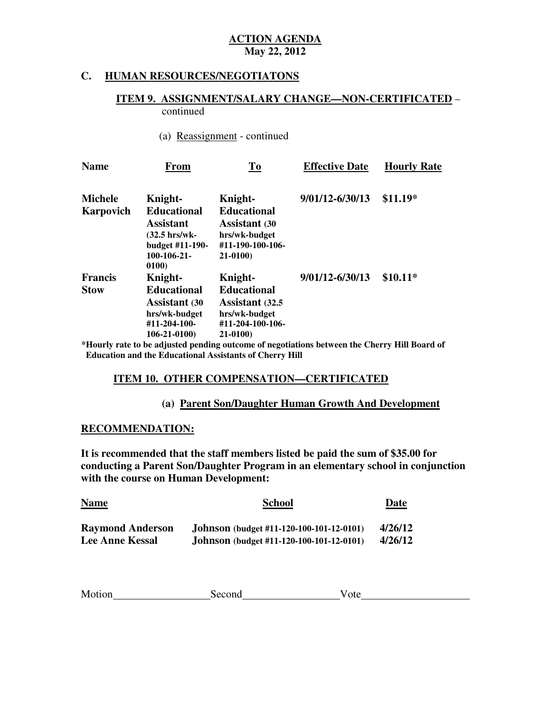#### **C. HUMAN RESOURCES/NEGOTIATONS**

#### **ITEM 9. ASSIGNMENT/SALARY CHANGE—NON-CERTIFICATED** – continued

#### (a) Reassignment - continued

| <b>Name</b>    | <b>From</b>                                                                                             | To                                                                                             | <b>Effective Date</b> | <b>Hourly Rate</b> |
|----------------|---------------------------------------------------------------------------------------------------------|------------------------------------------------------------------------------------------------|-----------------------|--------------------|
| <b>Michele</b> | Knight-                                                                                                 | Knight-                                                                                        | 9/01/12-6/30/13       | $$11.19*$          |
| Karpovich      | <b>Educational</b><br><b>Assistant</b><br>(32.5 hrs/wk-<br>budget #11-190-<br>$100 - 106 - 21$<br>0100) | <b>Educational</b><br><b>Assistant</b> (30<br>hrs/wk-budget<br>#11-190-100-106-<br>21-0100)    |                       |                    |
| <b>Francis</b> | Knight-                                                                                                 | Knight-                                                                                        | 9/01/12-6/30/13       | $$10.11*$          |
| <b>Stow</b>    | <b>Educational</b><br><b>Assistant</b> (30<br>hrs/wk-budget<br>#11-204-100-<br>106-21-0100)             | <b>Educational</b><br><b>Assistant</b> (32.5)<br>hrs/wk-budget<br>#11-204-100-106-<br>21-0100) |                       |                    |

**\*Hourly rate to be adjusted pending outcome of negotiations between the Cherry Hill Board of Education and the Educational Assistants of Cherry Hill** 

#### **ITEM 10. OTHER COMPENSATION—CERTIFICATED**

#### **(a) Parent Son/Daughter Human Growth And Development**

#### **RECOMMENDATION:**

 **It is recommended that the staff members listed be paid the sum of \$35.00 for conducting a Parent Son/Daughter Program in an elementary school in conjunction with the course on Human Development:** 

| <b>Name</b>             | <b>School</b>                                   | Date    |
|-------------------------|-------------------------------------------------|---------|
| <b>Raymond Anderson</b> | <b>Johnson</b> (budget #11-120-100-101-12-0101) | 4/26/12 |
| <b>Lee Anne Kessal</b>  | <b>Johnson</b> (budget #11-120-100-101-12-0101) | 4/26/12 |

| Motion | Second | ote |
|--------|--------|-----|
|        |        |     |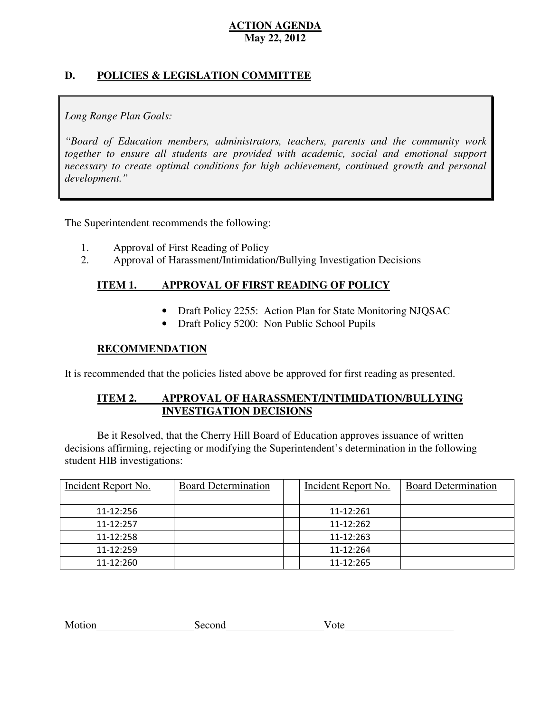### **D. POLICIES & LEGISLATION COMMITTEE**

### *Long Range Plan Goals:*

 *"Board of Education members, administrators, teachers, parents and the community work*  together to ensure all students are provided with academic, social and emotional support necessary to create optimal conditions for high achievement, continued growth and personal *development."* 

The Superintendent recommends the following:

- 1. Approval of First Reading of Policy
- 2. Approval of Harassment/Intimidation/Bullying Investigation Decisions

#### **ITEM 1. IMPROVAL OF FIRST READING OF POLICY**

- Draft Policy 2255: Action Plan for State Monitoring NJQSAC
- Draft Policy 5200: Non Public School Pupils

#### **RECOMMENDATION**

It is recommended that the policies listed above be approved for first reading as presented.

#### **ITEM 2. APPROVAL OF HARASSMENT/INTIMIDATION/BULLYING INVESTIGATION DECISIONS**

 decisions affirming, rejecting or modifying the Superintendent's determination in the following student HIB investigations: Be it Resolved, that the Cherry Hill Board of Education approves issuance of written

| Incident Report No. | <b>Board Determination</b> | Incident Report No. | <b>Board Determination</b> |
|---------------------|----------------------------|---------------------|----------------------------|
| 11-12:256           |                            | 11-12:261           |                            |
| 11-12:257           |                            | 11-12:262           |                            |
| 11-12:258           |                            | 11-12:263           |                            |
| 11-12:259           |                            | 11-12:264           |                            |
| 11-12:260           |                            | 11-12:265           |                            |

| Motion | Second | ' ote |
|--------|--------|-------|
|        |        |       |